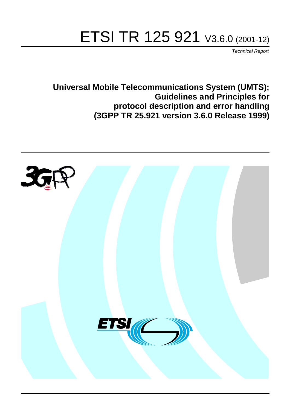# ETSI TR 125 921 V3.6.0 (2001-12)

Technical Report

**Universal Mobile Telecommunications System (UMTS); Guidelines and Principles for protocol description and error handling (3GPP TR 25.921 version 3.6.0 Release 1999)**

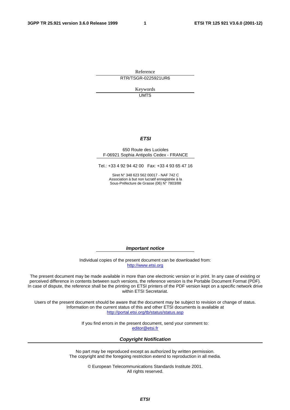Reference RTR/TSGR-0225921UR6

> Keywords **UMTS**

#### **ETSI**

#### 650 Route des Lucioles F-06921 Sophia Antipolis Cedex - FRANCE

Tel.: +33 4 92 94 42 00 Fax: +33 4 93 65 47 16

Siret N° 348 623 562 00017 - NAF 742 C Association à but non lucratif enregistrée à la Sous-Préfecture de Grasse (06) N° 7803/88

**Important notice** 

Individual copies of the present document can be downloaded from: [http://www.etsi.org](http://www.etsi.org/)

The present document may be made available in more than one electronic version or in print. In any case of existing or perceived difference in contents between such versions, the reference version is the Portable Document Format (PDF). In case of dispute, the reference shall be the printing on ETSI printers of the PDF version kept on a specific network drive within ETSI Secretariat.

Users of the present document should be aware that the document may be subject to revision or change of status. Information on the current status of this and other ETSI documents is available at <http://portal.etsi.org/tb/status/status.asp>

> If you find errors in the present document, send your comment to: [editor@etsi.fr](mailto:editor@etsi.fr)

#### **Copyright Notification**

No part may be reproduced except as authorized by written permission. The copyright and the foregoing restriction extend to reproduction in all media.

> © European Telecommunications Standards Institute 2001. All rights reserved.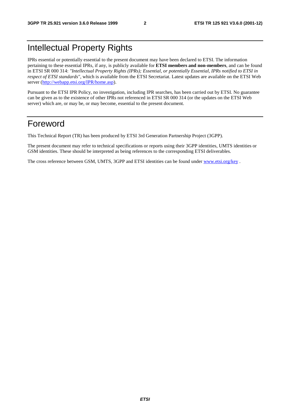# Intellectual Property Rights

IPRs essential or potentially essential to the present document may have been declared to ETSI. The information pertaining to these essential IPRs, if any, is publicly available for **ETSI members and non-members**, and can be found in ETSI SR 000 314: *"Intellectual Property Rights (IPRs); Essential, or potentially Essential, IPRs notified to ETSI in respect of ETSI standards"*, which is available from the ETSI Secretariat. Latest updates are available on the ETSI Web server [\(http://webapp.etsi.org/IPR/home.asp\)](http://webapp.etsi.org/IPR/home.asp).

Pursuant to the ETSI IPR Policy, no investigation, including IPR searches, has been carried out by ETSI. No guarantee can be given as to the existence of other IPRs not referenced in ETSI SR 000 314 (or the updates on the ETSI Web server) which are, or may be, or may become, essential to the present document.

# Foreword

This Technical Report (TR) has been produced by ETSI 3rd Generation Partnership Project (3GPP).

The present document may refer to technical specifications or reports using their 3GPP identities, UMTS identities or GSM identities. These should be interpreted as being references to the corresponding ETSI deliverables.

The cross reference between GSM, UMTS, 3GPP and ETSI identities can be found under [www.etsi.org/key](http://www.etsi.org/key) .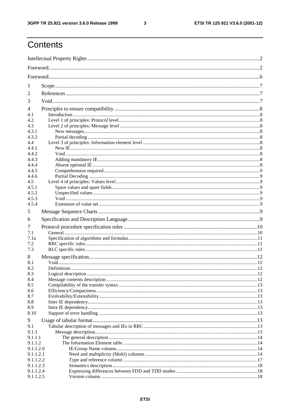$\mathbf{3}$ 

# **Contents**

| 1                    |  |  |  |  |  |  |
|----------------------|--|--|--|--|--|--|
| 2                    |  |  |  |  |  |  |
| 3                    |  |  |  |  |  |  |
| 4                    |  |  |  |  |  |  |
| 4.1                  |  |  |  |  |  |  |
| 4.2                  |  |  |  |  |  |  |
| 4.3                  |  |  |  |  |  |  |
| 4.3.1<br>4.3.2       |  |  |  |  |  |  |
| 4.4                  |  |  |  |  |  |  |
| 4.4.1                |  |  |  |  |  |  |
| 4.4.2                |  |  |  |  |  |  |
| 4.4.3                |  |  |  |  |  |  |
| 4.4.4                |  |  |  |  |  |  |
| 4.4.5<br>4.4.6       |  |  |  |  |  |  |
| 4.5                  |  |  |  |  |  |  |
| 4.5.1                |  |  |  |  |  |  |
| 4.5.2                |  |  |  |  |  |  |
| 4.5.3                |  |  |  |  |  |  |
| 4.5.4                |  |  |  |  |  |  |
| 5                    |  |  |  |  |  |  |
| 6                    |  |  |  |  |  |  |
| 7                    |  |  |  |  |  |  |
| 7.1                  |  |  |  |  |  |  |
| 7.1a<br>7.2          |  |  |  |  |  |  |
| 7.3                  |  |  |  |  |  |  |
| 8                    |  |  |  |  |  |  |
| 8.1                  |  |  |  |  |  |  |
| 8.2                  |  |  |  |  |  |  |
| 8.3                  |  |  |  |  |  |  |
| 8.4                  |  |  |  |  |  |  |
| 8.5                  |  |  |  |  |  |  |
| 8.6<br>8.7           |  |  |  |  |  |  |
| 8.8                  |  |  |  |  |  |  |
| 8.9                  |  |  |  |  |  |  |
| 8.10                 |  |  |  |  |  |  |
| 9                    |  |  |  |  |  |  |
| 9.1                  |  |  |  |  |  |  |
| 9.1.1                |  |  |  |  |  |  |
| 9.1.1.1              |  |  |  |  |  |  |
| 9.1.1.2<br>9.1.1.2.0 |  |  |  |  |  |  |
| 9.1.1.2.1            |  |  |  |  |  |  |
| 9.1.1.2.2            |  |  |  |  |  |  |
| 9.1.1.2.3            |  |  |  |  |  |  |
| 9.1.1.2.4            |  |  |  |  |  |  |
| 9.1.1.2.5            |  |  |  |  |  |  |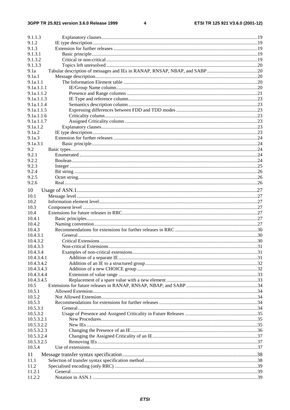$\overline{\mathbf{4}}$ 

| 9.1.1.3    |  |
|------------|--|
| 9.1.2      |  |
| 9.1.3      |  |
| 9.1.3.1    |  |
| 9.1.3.2    |  |
| 9.1.3.3    |  |
| 9.1a       |  |
| 9.1a.1     |  |
| 9.1a.1.1   |  |
| 9.1a.1.1.1 |  |
| 9.1a.1.1.2 |  |
| 9.1a.1.1.3 |  |
| 9.1a.1.1.4 |  |
| 9.1a.1.1.5 |  |
| 9.1a.1.1.6 |  |
| 9.1a.1.1.7 |  |
| 9.1a.1.2   |  |
| 9.1a.2     |  |
| 9.1a.3     |  |
| 9.1a.3.1   |  |
| 9.2        |  |
| 9.2.1      |  |
| 9.2.2      |  |
| 9.2.3      |  |
| 9.2.4      |  |
| 9.2.5      |  |
| 9.2.6      |  |
| 10         |  |
| 10.1       |  |
| 10.2       |  |
| 10.3       |  |
| 10.4       |  |
| 10.4.1     |  |
| 10.4.2     |  |
| 10.4.3     |  |
| 10.4.3.1   |  |
| 10.4.3.2   |  |
| 10.4.3.3   |  |
| 10.4.3.4   |  |
| 10.4.3.4.1 |  |
| 10.4.3.4.2 |  |
| 10.4.3.4.3 |  |
| 10.4.3.4.4 |  |
| 10.4.3.4.5 |  |
| 10.5       |  |
| 10.5.1     |  |
| 10.5.2     |  |
| 10.5.3     |  |
| 10.5.3.1   |  |
| 10.5.3.2   |  |
| 10.5.3.2.1 |  |
| 10.5.3.2.2 |  |
| 10.5.3.2.3 |  |
| 10.5.3.2.4 |  |
| 10.5.3.2.5 |  |
| 10.5.4     |  |
|            |  |
| 11         |  |
| 11.1       |  |
| 11.2       |  |
| 11.2.1     |  |
| 11.2.2     |  |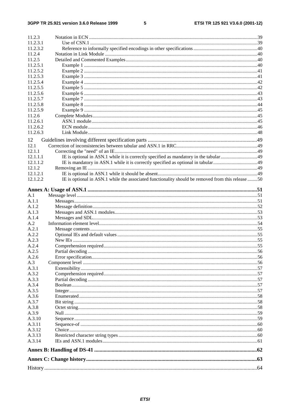### $5\phantom{a}$

| 11.2.3   |                                                                                                   |  |
|----------|---------------------------------------------------------------------------------------------------|--|
|          |                                                                                                   |  |
| 11.2.3.1 |                                                                                                   |  |
| 11.2.3.2 |                                                                                                   |  |
| 11.2.4   |                                                                                                   |  |
| 11.2.5   |                                                                                                   |  |
| 11.2.5.1 |                                                                                                   |  |
| 11.2.5.2 |                                                                                                   |  |
| 11.2.5.3 |                                                                                                   |  |
| 11.2.5.4 |                                                                                                   |  |
| 11.2.5.5 |                                                                                                   |  |
| 11.2.5.6 |                                                                                                   |  |
| 11.2.5.7 |                                                                                                   |  |
| 11.2.5.8 |                                                                                                   |  |
| 11.2.5.9 |                                                                                                   |  |
|          |                                                                                                   |  |
| 11.2.6   |                                                                                                   |  |
| 11.2.6.1 |                                                                                                   |  |
| 11.2.6.2 |                                                                                                   |  |
| 11.2.6.3 |                                                                                                   |  |
| 12       |                                                                                                   |  |
| 12.1     |                                                                                                   |  |
| 12.1.1   |                                                                                                   |  |
| 12.1.1.1 |                                                                                                   |  |
|          |                                                                                                   |  |
| 12.1.1.2 |                                                                                                   |  |
| 12.1.2   |                                                                                                   |  |
| 12.1.2.1 |                                                                                                   |  |
| 12.1.2.2 | IE is optional in ASN.1 while the associated functionality should be removed from this release 50 |  |
|          |                                                                                                   |  |
|          |                                                                                                   |  |
| A.1      |                                                                                                   |  |
| A.1.1    |                                                                                                   |  |
| A.1.2    |                                                                                                   |  |
| A.1.3    |                                                                                                   |  |
| A.1.4    |                                                                                                   |  |
| A.2      |                                                                                                   |  |
| A.2.1    |                                                                                                   |  |
| A.2.2    |                                                                                                   |  |
| A.2.3    |                                                                                                   |  |
| A.2.4    |                                                                                                   |  |
| A.2.5    |                                                                                                   |  |
|          |                                                                                                   |  |
| A.2.6    |                                                                                                   |  |
| A.3      |                                                                                                   |  |
| A.3.1    |                                                                                                   |  |
| A.3.2    |                                                                                                   |  |
| A.3.3    |                                                                                                   |  |
| A.3.4    |                                                                                                   |  |
| A.3.5    |                                                                                                   |  |
| A.3.6    |                                                                                                   |  |
| A.3.7    |                                                                                                   |  |
| A.3.8    |                                                                                                   |  |
| A.3.9    |                                                                                                   |  |
| A.3.10   |                                                                                                   |  |
| A.3.11   |                                                                                                   |  |
| A.3.12   |                                                                                                   |  |
| A.3.13   |                                                                                                   |  |
| A.3.14   |                                                                                                   |  |
|          |                                                                                                   |  |
|          |                                                                                                   |  |
|          |                                                                                                   |  |
|          |                                                                                                   |  |
|          |                                                                                                   |  |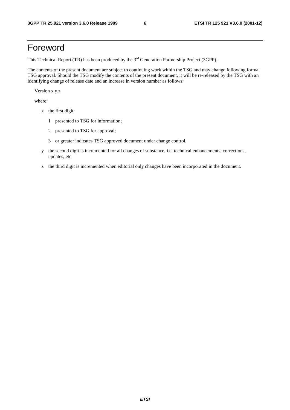# Foreword

This Technical Report (TR) has been produced by the 3<sup>rd</sup> Generation Partnership Project (3GPP).

The contents of the present document are subject to continuing work within the TSG and may change following formal TSG approval. Should the TSG modify the contents of the present document, it will be re-released by the TSG with an identifying change of release date and an increase in version number as follows:

Version x.y.z

where:

- x the first digit:
	- 1 presented to TSG for information;
	- 2 presented to TSG for approval;
	- 3 or greater indicates TSG approved document under change control.
- y the second digit is incremented for all changes of substance, i.e. technical enhancements, corrections, updates, etc.
- z the third digit is incremented when editorial only changes have been incorporated in the document.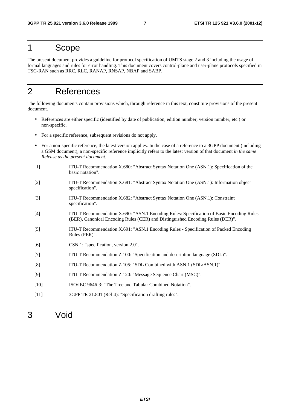# 1 Scope

The present document provides a guideline for protocol specification of UMTS stage 2 and 3 including the usage of formal languages and rules for error handling. This document covers control-plane and user-plane protocols specified in TSG-RAN such as RRC, RLC, RANAP, RNSAP, NBAP and SABP.

# 2 References

The following documents contain provisions which, through reference in this text, constitute provisions of the present document.

- References are either specific (identified by date of publication, edition number, version number, etc.) or non-specific.
- For a specific reference, subsequent revisions do not apply.
- For a non-specific reference, the latest version applies. In the case of a reference to a 3GPP document (including a GSM document), a non-specific reference implicitly refers to the latest version of that document *in the same Release as the present document*.
- [1] ITU-T Recommendation X.680: "Abstract Syntax Notation One (ASN.1): Specification of the basic notation".
- [2] ITU-T Recommendation X.681: "Abstract Syntax Notation One (ASN.1): Information object specification".
- [3] ITU-T Recommendation X.682: "Abstract Syntax Notation One (ASN.1): Constraint specification".
- [4] ITU-T Recommendation X.690: "ASN.1 Encoding Rules: Specification of Basic Encoding Rules (BER), Canonical Encoding Rules (CER) and Distinguished Encoding Rules (DER)".
- [5] ITU-T Recommendation X.691: "ASN.1 Encoding Rules Specification of Packed Encoding Rules (PER)".
- [6] CSN.1: "specification, version 2.0".
- [7] ITU-T Recommendation Z.100: "Specification and description language (SDL)".
- [8] ITU-T Recommendation Z.105: "SDL Combined with ASN.1 (SDL/ASN.1)".
- [9] ITU-T Recommendation Z.120: "Message Sequence Chart (MSC)".
- [10] ISO/IEC 9646-3: "The Tree and Tabular Combined Notation".
- [11] 3GPP TR 21.801 (Rel-4): "Specification drafting rules".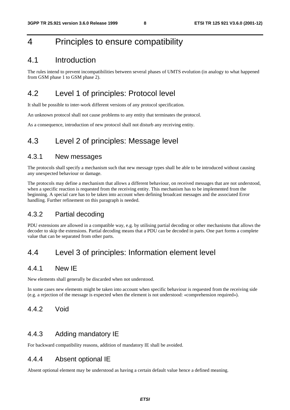# 4 Principles to ensure compatibility

# 4.1 Introduction

The rules intend to prevent incompatibilities between several phases of UMTS evolution (in analogy to what happened from GSM phase 1 to GSM phase 2).

# 4.2 Level 1 of principles: Protocol level

It shall be possible to inter-work different versions of any protocol specification.

An unknown protocol shall not cause problems to any entity that terminates the protocol.

As a consequence, introduction of new protocol shall not disturb any receiving entity.

# 4.3 Level 2 of principles: Message level

### 4.3.1 New messages

The protocols shall specify a mechanism such that new message types shall be able to be introduced without causing any unexpected behaviour or damage.

The protocols may define a mechanism that allows a different behaviour, on received messages that are not understood, when a specific reaction is requested from the receiving entity. This mechanism has to be implemented from the beginning. A special care has to be taken into account when defining broadcast messages and the associated Error handling. Further refinement on this paragraph is needed.

## 4.3.2 Partial decoding

PDU extensions are allowed in a compatible way, e.g. by utilising partial decoding or other mechanisms that allows the decoder to skip the extensions. Partial decoding means that a PDU can be decoded in parts. One part forms a complete value that can be separated from other parts.

# 4.4 Level 3 of principles: Information element level

## 4.4.1 New IE

New elements shall generally be discarded when not understood.

In some cases new elements might be taken into account when specific behaviour is requested from the receiving side (e.g. a rejection of the message is expected when the element is not understood: «comprehension required»).

### 4.4.2 Void

## 4.4.3 Adding mandatory IE

For backward compatibility reasons, addition of mandatory IE shall be avoided.

### 4.4.4 Absent optional IE

Absent optional element may be understood as having a certain default value hence a defined meaning.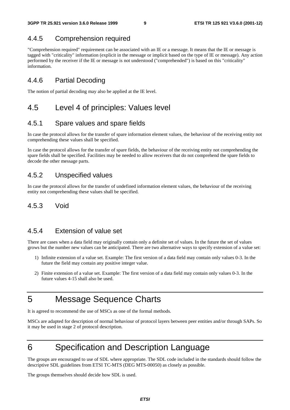# 4.4.5 Comprehension required

"Comprehension required" requirement can be associated with an IE or a message. It means that the IE or message is tagged with "criticality" information (explicit in the message or implicit based on the type of IE or message). Any action performed by the receiver if the IE or message is not understood ("comprehended") is based on this "criticality" information.

# 4.4.6 Partial Decoding

The notion of partial decoding may also be applied at the IE level.

# 4.5 Level 4 of principles: Values level

### 4.5.1 Spare values and spare fields

In case the protocol allows for the transfer of spare information element values, the behaviour of the receiving entity not comprehending these values shall be specified.

In case the protocol allows for the transfer of spare fields, the behaviour of the receiving entity not comprehending the spare fields shall be specified. Facilities may be needed to allow receivers that do not comprehend the spare fields to decode the other message parts.

## 4.5.2 Unspecified values

In case the protocol allows for the transfer of undefined information element values, the behaviour of the receiving entity not comprehending these values shall be specified.

## 4.5.3 Void

### 4.5.4 Extension of value set

There are cases when a data field may originally contain only a definite set of values. In the future the set of values grows but the number new values can be anticipated. There are two alternative ways to specify extension of a value set:

- 1) Infinite extension of a value set. Example: The first version of a data field may contain only values 0-3. In the future the field may contain any positive integer value.
- 2) Finite extension of a value set. Example: The first version of a data field may contain only values 0-3. In the future values 4-15 shall also be used.

# 5 Message Sequence Charts

It is agreed to recommend the use of MSCs as one of the formal methods.

MSCs are adapted for description of normal behaviour of protocol layers between peer entities and/or through SAPs. So it may be used in stage 2 of protocol description.

# 6 Specification and Description Language

The groups are encouraged to use of SDL where appropriate. The SDL code included in the standards should follow the descriptive SDL guidelines from ETSI TC-MTS (DEG MTS-00050) as closely as possible.

The groups themselves should decide how SDL is used.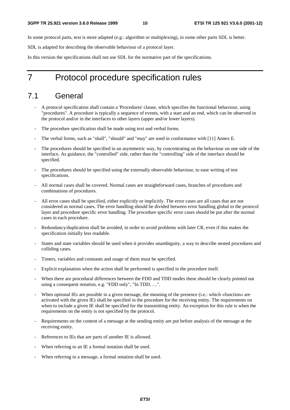In some protocol parts, text is more adapted (e.g.: algorithm or multiplexing), in some other parts SDL is better.

SDL is adapted for describing the observable behaviour of a protocol layer.

In this version the specifications shall not use SDL for the normative part of the specifications.

# 7 Protocol procedure specification rules

# 7.1 General

- A protocol specification shall contain a 'Procedures' clause, which specifies the functional behaviour, using "procedures". A procedure is typically a sequence of events, with a start and an end, which can be observed in the protocol and/or in the interfaces to other layers (upper and/or lower layers).
- The procedure specification shall be made using text and verbal forms.
- The verbal forms, such as "shall", "should" and "may" are used in conformance with [11] Annex E.
- The procedures should be specified in an asymmetric way, by concentrating on the behaviour on one side of the interface. As guidance, the "controlled" side, rather than the "controlling" side of the interface should be specified.
- The procedures should be specified using the externally observable behaviour, to ease writing of test specifications.
- All normal cases shall be covered. Normal cases are straightforward cases, branches of procedures and combinations of procedures.
- All error cases shall be specified, either explicitly or implicitly. The error cases are all cases that are not considered as normal cases. The error handling should be divided between error handling global to the protocol layer and procedure specific error handling. The procedure specific error cases should be put after the normal cases in each procedure.
- Redundancy/duplication shall be avoided, in order to avoid problems with later CR, even if this makes the specification initially less readable.
- States and state variables should be used when it provides unambiguity, a way to describe nested procedures and colliding cases.
- Timers, variables and constants and usage of them must be specified.
- Explicit explanation when the action shall be performed is specified in the procedure itself.
- When there are procedural differences between the FDD and TDD modes these should be clearly pointed out using a consequent notation, e.g. "FDD only", "In TDD, …".
- When optional IEs are possible in a given message, the meaning of the presence (i.e.: which «function» are activated with the given IE) shall be specified in the procedure for the receiving entity. The requirements on when to include a given IE shall be specified for the transmitting entity. An exception for this rule is when the requirements on the entity is not specified by the protocol.
- Requirements on the content of a message at the sending entity are put before analysis of the message at the receiving entity.
- References to IEs that are parts of another IE is allowed.
- When referring to an IE a formal notation shall be used.
- When referring to a message, a formal notation shall be used.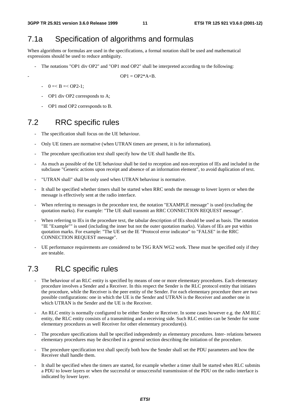# 7.1a Specification of algorithms and formulas

When algorithms or formulas are used in the specifications, a formal notation shall be used and mathematical expressions should be used to reduce ambiguity.

The notations "OP1 div OP2" and "OP1 mod OP2" shall be interpreted according to the following:

$$
OP1 = OP2^*A + B.
$$

- $-$  0 =  $B = <$  OP2-1;
- OP1 div OP2 corresponds to A;
- OP1 mod OP2 corresponds to B.

# 7.2 RRC specific rules

- The specification shall focus on the UE behaviour.
- Only UE timers are normative (when UTRAN timers are present, it is for information).
- The procedure specification text shall specify how the UE shall handle the IEs.
- As much as possible of the UE behaviour shall be tied to reception and non-reception of IEs and included in the subclause "Generic actions upon receipt and absence of an information element", to avoid duplication of text.
- "UTRAN shall" shall be only used when UTRAN behaviour is normative.
- It shall be specified whether timers shall be started when RRC sends the message to lower layers or when the message is effectively sent at the radio interface.
- When referring to messages in the procedure text, the notation "EXAMPLE message" is used (excluding the quotation marks). For example: "The UE shall transmit an RRC CONNECTION REQUEST message".
- When referring to IEs in the procedure text, the tabular description of IEs should be used as basis. The notation "IE "Example"" is used (including the inner but not the outer quotation marks). Values of IEs are put within quotation marks. For example: "The UE set the IE "Protocol error indicator" to "FALSE" in the RRC CONNECTION REQUEST message".
- UE performance requirements are considered to be TSG RAN WG2 work. These must be specified only if they are testable.

# 7.3 RLC specific rules

- The behaviour of an RLC entity is specified by means of one or more elementary procedures. Each elementary procedure involves a Sender and a Receiver. In this respect the Sender is the RLC protocol entity that initiates the procedure, while the Receiver is the peer entity of the Sender. For each elementary procedure there are two possible configurations: one in which the UE is the Sender and UTRAN is the Receiver and another one in which UTRAN is the Sender and the UE is the Receiver.
- An RLC entity is normally configured to be either Sender or Receiver. In some cases however e.g. the AM RLC entity, the RLC entity consists of a transmitting and a receiving side. Such RLC entities can be Sender for some elementary procedures as well Receiver for other elementary procedure(s).
- The procedure specifications shall be specified independently as elementary procedures. Inter- relations between elementary procedures may be described in a general section describing the initiation of the procedure.
- The procedure specification text shall specify both how the Sender shall set the PDU parameters and how the Receiver shall handle them.
- It shall be specified when the timers are started, for example whether a timer shall be started when RLC submits a PDU to lower layers or when the successful or unsuccessful transmission of the PDU on the radio interface is indicated by lower layer.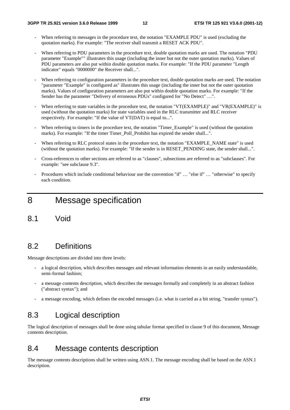- When referring to messages in the procedure text, the notation "EXAMPLE PDU" is used (excluding the quotation marks). For example: "The receiver shall transmit a RESET ACK PDU".
- When referring to PDU parameters in the procedure text, double quotation marks are used. The notation "PDU" parameter "Example"" illustrates this usage (including the inner but not the outer quotation marks). Values of PDU parameters are also put within double quotation marks. For example: "If the PDU parameter "Length indicator" equals "0000000" the Receiver shall...".
- When referring to configuration parameters in the procedure text, double quotation marks are used. The notation "parameter "Example" is configured as" illustrates this usage (including the inner but not the outer quotation marks). Values of configuration parameters are also put within double quotation marks. For example: "If the Sender has the parameter "Delivery of erroneous PDUs" configured for "No Detect" …".
- When referring to state variables in the procedure text, the notation "VT(EXAMPLE)" and "VR(EXAMPLE)" is used (without the quotation marks) for state variables used in the RLC transmitter and RLC receiver respectively. For example: "If the value of VT(DAT) is equal to...".
- When referring to timers in the procedure text, the notation "Timer\_Example" is used (without the quotation marks). For example: "If the timer Timer\_Poll\_Prohibit has expired the sender shall...".
- When referring to RLC protocol states in the procedure text, the notation "EXAMPLE\_NAME state" is used (without the quotation marks). For example: "If the sender is in RESET PENDING state, the sender shall...".
- Cross-references to other sections are referred to as "clauses", subsections are referred to as "subclauses". For example: "see subclause 9.3".
- Procedures which include conditional behaviour use the convention "if" … "else if" … "otherwise" to specify each condition.

8 Message specification

8.1 Void

# 8.2 Definitions

Message descriptions are divided into three levels:

- a logical description, which describes messages and relevant information elements in an easily understandable, semi-formal fashion;
- a message contents description, which describes the messages formally and completely in an abstract fashion ("abstract syntax"); and
- a message encoding, which defines the encoded messages (i.e. what is carried as a bit string, "transfer syntax").

# 8.3 Logical description

The logical description of messages shall be done using tabular format specified in clause 9 of this document, Message contents description.

# 8.4 Message contents description

The message contents descriptions shall be written using ASN.1. The message encoding shall be based on the ASN.1 description.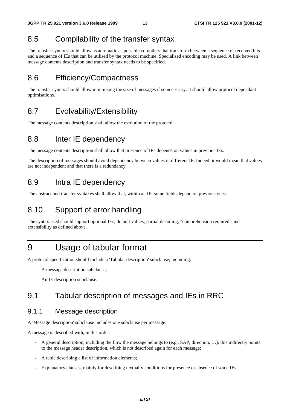# 8.5 Compilability of the transfer syntax

The transfer syntax should allow as automatic as possible compilers that transform between a sequence of received bits and a sequence of IEs that can be utilised by the protocol machine. Specialised encoding may be used. A link between message contents description and transfer syntax needs to be specified.

# 8.6 Efficiency/Compactness

The transfer syntax should allow minimising the size of messages if so necessary. It should allow protocol dependant optimisations.

# 8.7 Evolvability/Extensibility

The message contents description shall allow the evolution of the protocol.

# 8.8 Inter IE dependency

The message contents description shall allow that presence of IEs depends on values in previous IEs.

The description of messages should avoid dependency between values in different IE. Indeed, it would mean that values are not independent and that there is a redundancy.

# 8.9 Intra IE dependency

The abstract and transfer syntaxes shall allow that, within an IE, some fields depend on previous ones.

# 8.10 Support of error handling

The syntax used should support optional IEs, default values, partial decoding, "comprehension required" and extensibility as defined above.

# 9 Usage of tabular format

A protocol specification should include a 'Tabular description' subclause, including:

- A message description subclause;
- An IE description subclause.

# 9.1 Tabular description of messages and IEs in RRC

## 9.1.1 Message description

A 'Message description' subclause includes one subclause per message.

A message is described with, in this order:

- A general description, including the flow the message belongs to (e.g., SAP, direction, ...); this indirectly points to the message header description, which is not described again for each message;
- A table describing a list of information elements;
- Explanatory clauses, mainly for describing textually conditions for presence or absence of some IEs.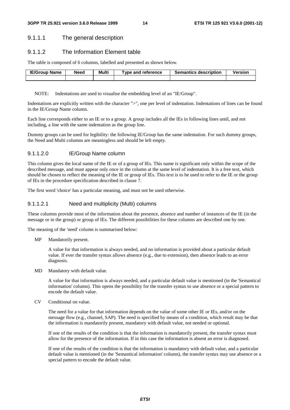### 9.1.1.1 The general description

### 9.1.1.2 The Information Element table

The table is composed of 6 columns, labelled and presented as shown below.

| <b>IE/Group Name</b> | Need | Multi | Type and reference | <b>Semantics description</b> | <b>Version</b> |
|----------------------|------|-------|--------------------|------------------------------|----------------|
|                      |      |       |                    |                              |                |

NOTE: Indentations are used to visualise the embedding level of an "IE/Group".

Indentations are explicitly written with the character ">", one per level of indentation. Indentations of lines can be found in the IE/Group Name column.

Each line corresponds either to an IE or to a group. A group includes all the IEs in following lines until, and not including, a line with the same indentation as the group line.

Dummy groups can be used for legibility: the following IE/Group has the same indentation. For such dummy groups, the Need and Multi columns are meaningless and should be left empty.

### 9.1.1.2.0 IE/Group Name column

This column gives the local name of the IE or of a group of IEs. This name is significant only within the scope of the described message, and must appear only once in the column at the same level of indentation. It is a free text, which should be chosen to reflect the meaning of the IE or group of IEs. This text is to be used to refer to the IE or the group of IEs in the procedure specification described in clause 7.

The first word 'choice' has a particular meaning, and must not be used otherwise.

#### 9.1.1.2.1 Need and multiplicity (Multi) columns

These columns provide most of the information about the presence, absence and number of instances of the IE (in the message or in the group) or group of IEs. The different possibilities for these columns are described one by one.

The meaning of the 'need' column is summarised below:

MP Mandatorily present.

 A value for that information is always needed, and no information is provided about a particular default value. If ever the transfer syntax allows absence (e.g., due to extension), then absence leads to an error diagnosis.

MD Mandatory with default value.

 A value for that information is always needed, and a particular default value is mentioned (in the 'Semantical information' column). This opens the possibility for the transfer syntax to use absence or a special pattern to encode the default value.

CV Conditional on value.

 The need for a value for that information depends on the value of some other IE or IEs, and/or on the message flow (e.g., channel, SAP). The need is specified by means of a condition, which result may be that the information is mandatorily present, mandatory with default value, not needed or optional.

 If one of the results of the condition is that the information is mandatorily present, the transfer syntax must allow for the presence of the information. If in this case the information is absent an error is diagnosed.

 If one of the results of the condition is that the information is mandatory with default value, and a particular default value is mentioned (in the 'Semantical information' column), the transfer syntax may use absence or a special pattern to encode the default value.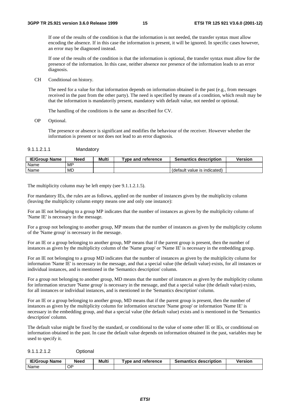If one of the results of the condition is that the information is not needed, the transfer syntax must allow encoding the absence. If in this case the information is present, it will be ignored. In specific cases however, an error may be diagnosed instead.

 If one of the results of the condition is that the information is optional, the transfer syntax must allow for the presence of the information. In this case, neither absence nor presence of the information leads to an error diagnosis.

CH Conditional on history.

 The need for a value for that information depends on information obtained in the past (e.g., from messages received in the past from the other party). The need is specified by means of a condition, which result may be that the information is mandatorily present, mandatory with default value, not needed or optional.

The handling of the conditions is the same as described for CV.

OP Optional.

 The presence or absence is significant and modifies the behaviour of the receiver. However whether the information is present or not does not lead to an error diagnosis.

#### 9.1.1.2.1.1 Mandatory

| <b>IE/Group Name</b> | <b>Need</b> | Multi | Type and reference | <b>Semantics description</b> | Version |
|----------------------|-------------|-------|--------------------|------------------------------|---------|
| Name                 | MP          |       |                    |                              |         |
| <b>Name</b>          | <b>MD</b>   |       |                    | (default value is indicated) |         |

The multiplicity column may be left empty (see 9.1.1.2.1.5).

For mandatory IEs, the rules are as follows, applied on the number of instances given by the multiplicity column (leaving the multiplicity column empty means one and only one instance):

For an IE not belonging to a group MP indicates that the number of instances as given by the multiplicity column of 'Name IE' is necessary in the message.

For a group not belonging to another group, MP means that the number of instances as given by the multiplicity column of the 'Name group' is necessary in the message.

For an IE or a group belonging to another group, MP means that if the parent group is present, then the number of instances as given by the multiplicity column of the 'Name group' or 'Name IE' is necessary in the embedding group.

For an IE not belonging to a group MD indicates that the number of instances as given by the multiplicity column for information 'Name IE' is necessary in the message, and that a special value (the default value) exists, for all instances or individual instances, and is mentioned in the 'Semantics description' column.

For a group not belonging to another group, MD means that the number of instances as given by the multiplicity column for information structure 'Name group' is necessary in the message, and that a special value (the default value) exists, for all instances or individual instances, and is mentioned in the 'Semantics description' column.

For an IE or a group belonging to another group, MD means that if the parent group is present, then the number of instances as given by the multiplicity column for information structure 'Name group' or information 'Name IE' is necessary in the embedding group, and that a special value (the default value) exists and is mentioned in the 'Semantics description' column.

The default value might be fixed by the standard, or conditional to the value of some other IE or IEs, or conditional on information obtained in the past. In case the default value depends on information obtained in the past, variables may be used to specify it.

9.1.1.2.1.2 Optional

| IE/Group<br>Name | Need | Multi | Tvpe and reference | <b>Semantics description</b> | <b>Versior</b> |
|------------------|------|-------|--------------------|------------------------------|----------------|
| <b>Name</b>      | ∩י   |       |                    |                              |                |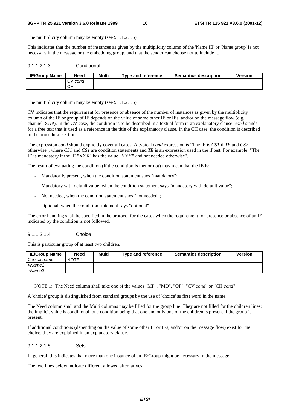#### **3GPP TR 25.921 version 3.6.0 Release 1999 16 ETSI TR 125 921 V3.6.0 (2001-12)**

The multiplicity column may be empty (see 9.1.1.2.1.5).

This indicates that the number of instances as given by the multiplicity column of the 'Name IE' or 'Name group' is not necessary in the message or the embedding group, and that the sender can choose not to include it.

### 9.1.1.2.1.3 Conditional

| <b>IE/Group Name</b> | <b>Need</b> | Multi | Type and reference | <b>Semantics description</b> | <b>Version</b> |
|----------------------|-------------|-------|--------------------|------------------------------|----------------|
|                      | CV cond     |       |                    |                              |                |
|                      | CН          |       |                    |                              |                |

The multiplicity column may be empty (see 9.1.1.2.1.5).

CV indicates that the requirement for presence or absence of the number of instances as given by the multiplicity column of the IE or group of IE depends on the value of some other IE or IEs, and/or on the message flow (e.g., channel, SAP). In the CV case, the condition is to be described in a textual form in an explanatory clause. *cond* stands for a free text that is used as a reference in the title of the explanatory clause. In the CH case, the condition is described in the procedural section.

The expression *cond* should explicitly cover all cases. A typical *cond* expression is "The IE is *CS1* if *TE* and *CS2* otherwise", where *CS1* and *CS1* are condition statements and *TE* is an expression used in the if test. For example: "The IE is mandatory if the IE "XXX" has the value "YYY" and not needed otherwise".

The result of evaluating the condition (if the condition is met or not) may mean that the IE is:

- Mandatorily present, when the condition statement says "mandatory";
- Mandatory with default value, when the condition statement says "mandatory with default value";
- Not needed, when the condition statement says "not needed";
- Optional, when the condition statement says "optional".

The error handling shall be specified in the protocol for the cases when the requirement for presence or absence of an IE indicated by the condition is not followed.

9.1.1.2.1.4 Choice

This is particular group of at least two children.

| <b>IE/Group Name</b> | <b>Need</b> | Multi | Type and reference | <b>Semantics description</b> | Version |
|----------------------|-------------|-------|--------------------|------------------------------|---------|
| Choice name          | NOTE 1      |       |                    |                              |         |
| $>$ Name1            |             |       |                    |                              |         |
| >Name2               |             |       |                    |                              |         |

NOTE 1: The Need column shall take one of the values "MP", "MD", "OP", "CV *cond*" or "CH *cond*".

A 'choice' group is distinguished from standard groups by the use of 'choice' as first word in the name.

The Need column shall and the Multi columns may be filled for the group line. They are not filled for the children lines: the implicit value is conditional, one condition being that one and only one of the children is present if the group is present.

If additional conditions (depending on the value of some other IE or IEs, and/or on the message flow) exist for the choice, they are explained in an explanatory clause.

### 9.1.1.2.1.5 Sets

In general, this indicates that more than one instance of an IE/Group might be necessary in the message.

The two lines below indicate different allowed alternatives.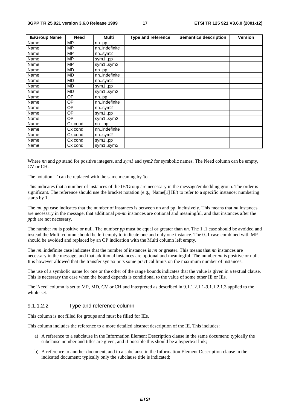| <b>IE/Group Name</b> | <b>Need</b> | Multi        | Type and reference | <b>Semantics description</b> | <b>Version</b> |
|----------------------|-------------|--------------|--------------------|------------------------------|----------------|
| Name                 | MΡ          | nnpp         |                    |                              |                |
| Name                 | MP          | nnindefinite |                    |                              |                |
| Name                 | <b>MP</b>   | nnsym2       |                    |                              |                |
| Name                 | MΡ          | sym1pp       |                    |                              |                |
| Name                 | MΡ          | sym1sym2     |                    |                              |                |
| Name                 | MD          | nnpp         |                    |                              |                |
| Name                 | MD          | nnindefinite |                    |                              |                |
| Name                 | MD          | nnsym2       |                    |                              |                |
| Name                 | MD          | sym1pp       |                    |                              |                |
| Name                 | MD          | sym1sym2     |                    |                              |                |
| Name                 | ОP          | nnpp         |                    |                              |                |
| Name                 | ОP          | nnindefinite |                    |                              |                |
| Name                 | ОP          | nnsym2       |                    |                              |                |
| Name                 | ОP          | sym1pp       |                    |                              |                |
| Name                 | OΡ          | sym1sym2     |                    |                              |                |
| Name                 | Cx cond     | nnpp         |                    |                              |                |
| Name                 | Cx cond     | nnindefinite |                    |                              |                |
| Name                 | Cx cond     | nn.sym2      |                    |                              |                |
| Name                 | Cx cond     | sym1pp       |                    |                              |                |
| Name                 | Cx cond     | sym1sym2     |                    |                              |                |

Where *nn* and *pp* stand for positive integers, and *sym1* and *sym2* for symbolic names. The Need column can be empty, CV or CH.

The notation '..' can be replaced with the same meaning by 'to'.

This indicates that a number of instances of the IE/Group are necessary in the message/embedding group. The order is significant. The reference should use the bracket notation (e.g., 'Name[1] IE') to refer to a specific instance; numbering starts by 1.

The *nn..pp* case indicates that the number of instances is between nn and pp, inclusively. This means that *nn* instances are necessary in the message, that additional *pp*-*nn* instances are optional and meaningful, and that instances after the *pp*th are not necessary.

The number *nn* is positive or null. The number *pp* must be equal or greater than *nn*. The 1..1 case should be avoided and instead the Multi column should be left empty to indicate one and only one instance. The 0..1 case combined with MP should be avoided and replaced by an OP indication with the Multi column left empty.

The *nn*..indefinite case indicates that the number of instances is *nn* or greater. This means that *nn* instances are necessary in the message, and that additional instances are optional and meaningful. The number *nn* is positive or null. It is however allowed that the transfer syntax puts some practical limits on the maximum number of instances.

The use of a symbolic name for one or the other of the range bounds indicates that the value is given in a textual clause. This is necessary the case when the bound depends is conditional to the value of some other IE or IEs.

The 'Need' column is set to MP, MD, CV or CH and interpreted as described in 9.1.1.2.1.1-9.1.1.2.1.3 applied to the whole set.

#### 9.1.1.2.2 Type and reference column

This column is not filled for groups and must be filled for IEs.

This column includes the reference to a more detailed abstract description of the IE. This includes:

- a) A reference to a subclause in the Information Element Description clause in the same document; typically the subclause number and titles are given, and if possible this should be a hypertext link;
- b) A reference to another document, and to a subclause in the Information Element Description clause in the indicated document; typically only the subclause title is indicated;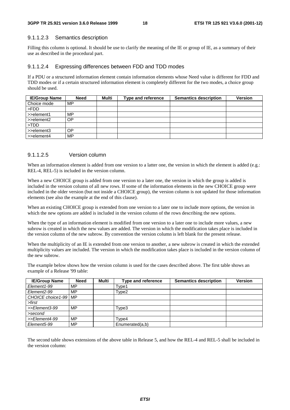#### 9.1.1.2.3 Semantics description

Filling this column is optional. It should be use to clarify the meaning of the IE or group of IE, as a summary of their use as described in the procedural part.

#### 9.1.1.2.4 Expressing differences between FDD and TDD modes

If a PDU or a structured information element contain information elements whose Need value is different for FDD and TDD modes or if a certain structured information element is completely different for the two modes, a choice group should be used.

| <b>IE/Group Name</b>     | <b>Need</b> | Multi | <b>Type and reference</b> | <b>Semantics description</b> | <b>Version</b> |
|--------------------------|-------------|-------|---------------------------|------------------------------|----------------|
| Choice mode              | MP          |       |                           |                              |                |
| >FDD                     |             |       |                           |                              |                |
| $\rightarrow$ -element1  | MP.         |       |                           |                              |                |
| $\Rightarrow$ >>element2 | OΡ          |       |                           |                              |                |
| >TDD                     |             |       |                           |                              |                |
| $\Rightarrow$ >>element3 | 0P          |       |                           |                              |                |
| >>element4               | MP          |       |                           |                              |                |

#### 9.1.1.2.5 Version column

When an information element is added from one version to a latter one, the version in which the element is added (e.g.: REL-4, REL-5) is included in the version column.

When a new CHOICE group is added from one version to a later one, the version in which the group is added is included in the version column of all new rows. If some of the information elements in the new CHOICE group were included in the older version (but not inside a CHOICE group), the version column is not updated for those information elements (see also the example at the end of this clause).

When an existing CHOICE group is extended from one version to a later one to include more options, the version in which the new options are added is included in the version column of the rows describing the new options.

When the type of an information element is modified from one version to a later one to include more values, a new subrow is created in which the new values are added. The version in which the modification takes place is included in the version column of the new subrow. By convention the version column is left blank for the present release.

When the multiplicity of an IE is extended from one version to another, a new subrow is created in which the extended multiplicity values are included. The version in which the modification takes place is included in the version column of the new subrow.

The example below shows how the version column is used for the cases described above. The first table shows an example of a Release '99 table:

| <b>IE/Group Name</b>     | <b>Need</b> | Multi | Type and reference | <b>Semantics description</b> | <b>Version</b> |
|--------------------------|-------------|-------|--------------------|------------------------------|----------------|
| Element1-99              | MP          |       | Type1              |                              |                |
| Element <sub>2</sub> -99 | MP          |       | Type2              |                              |                |
| CHOICE choice 1-99   MP  |             |       |                    |                              |                |
| >first                   |             |       |                    |                              |                |
| >>Element3-99            | MP          |       | Type3              |                              |                |
| >second                  |             |       |                    |                              |                |
| >>Element4-99            | MP          |       | $\mathsf{Type4}$   |                              |                |
| Element <sub>5</sub> -99 | MP          |       | Enumerated(a,b)    |                              |                |

The second table shows extensions of the above table in Release 5, and how the REL-4 and REL-5 shall be included in the version column: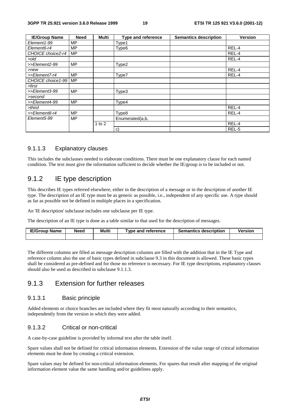| <b>IE/Group Name</b> | <b>Need</b> | <b>Multi</b> | <b>Type and reference</b> | <b>Semantics description</b> | <b>Version</b> |
|----------------------|-------------|--------------|---------------------------|------------------------------|----------------|
| Element1-99          | МP          |              | Type1                     |                              |                |
| Element6-r4          | <b>MP</b>   |              | Type <sub>6</sub>         |                              | REL-4          |
| CHOICE choice2-r4    | MP          |              |                           |                              | REL-4          |
| >old                 |             |              |                           |                              | REL-4          |
| >>Element2-99        | <b>MP</b>   |              | Type2                     |                              |                |
| $>$ new              |             |              |                           |                              | REL-4          |
| >>Element7-r4        | <b>MP</b>   |              | Type7                     |                              | REL-4          |
| CHOICE choice1-99    | <b>MP</b>   |              |                           |                              |                |
| >first               |             |              |                           |                              |                |
| >>Element3-99        | <b>MP</b>   |              | Type3                     |                              |                |
| >second              |             |              |                           |                              |                |
| >>Element4-99        | <b>MP</b>   |              | Type4                     |                              |                |
| $>$ third            |             |              |                           |                              | REL-4          |
| >>Element8-r4        | <b>MP</b>   |              | Type8                     |                              | REL-4          |
| Element5-99          | <b>MP</b>   |              | Enumerated(a,b,           |                              |                |
|                      |             | 1 to $2$     |                           |                              | REL-4          |
|                      |             |              | C)                        |                              | REL-5          |

### 9.1.1.3 Explanatory clauses

This includes the subclauses needed to elaborate conditions. There must be one explanatory clause for each named condition. The text must give the information sufficient to decide whether the IE/group is to be included or not.

## 9.1.2 IE type description

This describes IE types referred elsewhere, either in the description of a message or in the description of another IE type. The description of an IE type must be as generic as possible, i.e., independent of any specific use. A type should as far as possible not be defined in multiple places in a specification.

An 'IE description' subclause includes one subclause per IE type.

The description of an IE type is done as a table similar to that used for the description of messages.

| <b>IE/Group Name</b> | <b>Need</b> | Multi | Tvpe and reference | <b>Semantics description</b> | <b>Version</b> |
|----------------------|-------------|-------|--------------------|------------------------------|----------------|
|                      |             |       |                    |                              |                |

The different columns are filled as message description columns are filled with the addition that in the IE Type and reference column also the use of basic types defined in subclause 9.3 in this document is allowed. These basic types shall be considered as pre-defined and for those no reference is necessary. For IE type descriptions, explanatory clauses should also be used as described in subclause 9.1.1.3.

### 9.1.3 Extension for further releases

### 9.1.3.1 Basic principle

Added elements or choice branches are included where they fit most naturally according to their semantics, independently from the version in which they were added.

### 9.1.3.2 Critical or non-critical

A case-by-case guideline is provided by informal text after the table itself.

Spare values shall not be defined for critical information elements. Extension of the value range of critical information elements must be done by creating a critical extension.

Spare values may be defined for non-critical information elements. For spares that result after mapping of the original information element value the same handling and/or guidelines apply.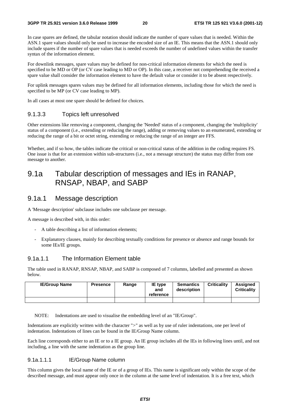In case spares are defined, the tabular notation should indicate the number of spare values that is needed. Within the ASN.1 spare values should only be used to increase the encoded size of an IE. This means that the ASN.1 should only include spares if the number of spare values that is needed exceeds the number of undefined values within the transfer syntax of the information element.

For downlink messages, spare values may be defined for non-critical information elements for which the need is specified to be MD or OP (or CV case leading to MD or OP). In this case, a receiver not comprehending the received a spare value shall consider the information element to have the default value or consider it to be absent respectively.

For uplink messages spares values may be defined for all information elements, including those for which the need is specified to be MP (or CV case leading to MP).

In all cases at most one spare should be defined for choices.

### 9.1.3.3 Topics left unresolved

Other extensions like removing a component, changing the 'Needed' status of a component, changing the 'multiplicity' status of a component (i.e., extending or reducing the range), adding or removing values to an enumerated, extending or reducing the range of a bit or octet string, extending or reducing the range of an integer are FFS.

Whether, and if so how, the tables indicate the critical or non-critical status of the addition in the coding requires FS. One issue is that for an extension within sub-structures (i.e., not a message structure) the status may differ from one message to another.

# 9.1a Tabular description of messages and IEs in RANAP, RNSAP, NBAP, and SABP

### 9.1a.1 Message description

A 'Message description' subclause includes one subclause per message.

A message is described with, in this order:

- A table describing a list of information elements;
- Explanatory clauses, mainly for describing textually conditions for presence or absence and range bounds for some IEs/IE groups.

### 9.1a.1.1 The Information Element table

The table used in RANAP, RNSAP, NBAP, and SABP is composed of 7 columns, labelled and presented as shown below.

| <b>IE/Group Name</b> | <b>Presence</b> | Range | IE type<br>and<br>reference | <b>Semantics</b><br>description | <b>Criticality</b> | Assianed<br>Criticalitv |
|----------------------|-----------------|-------|-----------------------------|---------------------------------|--------------------|-------------------------|
|                      |                 |       |                             |                                 |                    |                         |

NOTE: Indentations are used to visualise the embedding level of an "IE/Group".

Indentations are explicitly written with the character ">" as well as by use of ruler indentations, one per level of indentation. Indentations of lines can be found in the IE/Group Name column.

Each line corresponds either to an IE or to a IE group. An IE group includes all the IEs in following lines until, and not including, a line with the same indentation as the group line.

#### 9.1a.1.1.1 IE/Group Name column

This column gives the local name of the IE or of a group of IEs. This name is significant only within the scope of the described message, and must appear only once in the column at the same level of indentation. It is a free text, which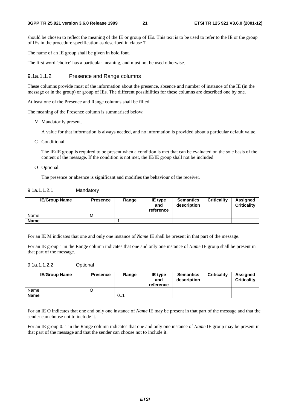should be chosen to reflect the meaning of the IE or group of IEs. This text is to be used to refer to the IE or the group of IEs in the procedure specification as described in clause 7.

The name of an IE group shall be given in bold font.

The first word 'choice' has a particular meaning, and must not be used otherwise.

#### 9.1a.1.1.2 Presence and Range columns

These columns provide most of the information about the presence, absence and number of instance of the IE (in the message or in the group) or group of IEs. The different possibilities for these columns are described one by one.

At least one of the Presence and Range columns shall be filled.

The meaning of the Presence column is summarised below:

M Mandatorily present.

A value for that information is always needed, and no information is provided about a particular default value.

C Conditional.

 The IE/IE group is required to be present when a condition is met that can be evaluated on the sole basis of the content of the message. If the condition is not met, the IE/IE group shall not be included.

O Optional.

The presence or absence is significant and modifies the behaviour of the receiver.

| 9.1a.1.1.2.1 | Mandatory |
|--------------|-----------|
|--------------|-----------|

| <b>IE/Group Name</b> | <b>Presence</b> | Range | IE type<br>and<br>reference | <b>Semantics</b><br>description | <b>Criticality</b> | <b>Assigned</b><br><b>Criticality</b> |
|----------------------|-----------------|-------|-----------------------------|---------------------------------|--------------------|---------------------------------------|
| Name                 | М               |       |                             |                                 |                    |                                       |
| Name                 |                 |       |                             |                                 |                    |                                       |

For an IE M indicates that one and only one instance of *Name* IE shall be present in that part of the message.

For an IE group 1 in the Range column indicates that one and only one instance of *Name* IE group shall be present in that part of the message.

#### 9.1a.1.1.2.2 Optional

| <b>IE/Group Name</b> | <b>Presence</b> | Range | <b>IE</b> type<br>and<br>reference | <b>Semantics</b><br>description | <b>Criticality</b> | <b>Assigned</b><br><b>Criticality</b> |
|----------------------|-----------------|-------|------------------------------------|---------------------------------|--------------------|---------------------------------------|
| Name                 |                 |       |                                    |                                 |                    |                                       |
| <b>Name</b>          |                 | 0i    |                                    |                                 |                    |                                       |

For an IE O indicates that one and only one instance of *Name* IE may be present in that part of the message and that the sender can choose not to include it.

For an IE group 0..1 in the Range column indicates that one and only one instance of *Name* IE group may be present in that part of the message and that the sender can choose not to include it.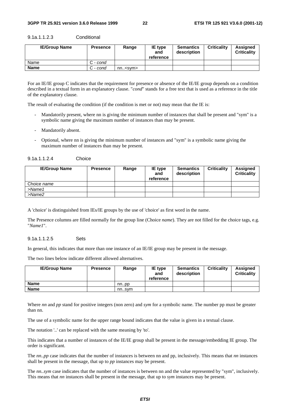| <b>IE/Group Name</b> | <b>Presence</b> | Range               | IE type<br>and<br>reference | <b>Semantics</b><br>description | <b>Criticality</b> | Assigned<br><b>Criticality</b> |
|----------------------|-----------------|---------------------|-----------------------------|---------------------------------|--------------------|--------------------------------|
| Name                 | C - cond        |                     |                             |                                 |                    |                                |
| <b>Name</b>          | C - cond        | nn. <sub>ssym</sub> |                             |                                 |                    |                                |

9.1a.1.1.2.3 Conditional

For an IE/IE group C indicates that the requirement for presence or absence of the IE/IE group depends on a condition described in a textual form in an explanatory clause. "*cond*" stands for a free text that is used as a reference in the title of the explanatory clause.

The result of evaluating the condition (if the condition is met or not) may mean that the IE is:

- Mandatorily present, where nn is giving the minimum number of instances that shall be present and "sym" is a symbolic name giving the maximum number of instances than may be present.
- Mandatorily absent.
- Optional, where nn is giving the minimum number of instances and "sym" is a symbolic name giving the maximum number of instances than may be present.

| Choice<br>9.1a.1.1.2.4 |
|------------------------|
|------------------------|

| <b>IE/Group Name</b> | <b>Presence</b> | Range | <b>IE</b> type<br>and<br>reference | <b>Semantics</b><br>description | <b>Criticality</b> | <b>Assigned</b><br><b>Criticality</b> |
|----------------------|-----------------|-------|------------------------------------|---------------------------------|--------------------|---------------------------------------|
| Choice name          |                 |       |                                    |                                 |                    |                                       |
| $>$ Name1            |                 |       |                                    |                                 |                    |                                       |
| $>$ Name $2$         |                 |       |                                    |                                 |                    |                                       |

A 'choice' is distinguished from IEs/IE groups by the use of 'choice' as first word in the name.

The Presence columns are filled normally for the group line (Choice *name*). They are not filled for the choice tags, e.g. "*Name1*".

#### 9.1a.1.1.2.5 Sets

In general, this indicates that more than one instance of an IE/IE group may be present in the message.

The two lines below indicate different allowed alternatives.

| <b>IE/Group Name</b> | <b>Presence</b> | Range | <b>IE</b> type<br>and<br>reference | <b>Semantics</b><br>description | <b>Criticality</b> | <b>Assigned</b><br><b>Criticality</b> |
|----------------------|-----------------|-------|------------------------------------|---------------------------------|--------------------|---------------------------------------|
| Name                 |                 | nnpp  |                                    |                                 |                    |                                       |
| Name                 |                 | nnsvm |                                    |                                 |                    |                                       |

Where *nn* and *pp* stand for positive integers (non zero) and *sym* for a symbolic name. The number pp must be greater than nn.

The use of a symbolic name for the upper range bound indicates that the value is given in a textual clause.

The notation '..' can be replaced with the same meaning by 'to'.

This indicates that a number of instances of the IE/IE group shall be present in the message/embedding IE group. The order is significant.

The *nn..pp* case indicates that the number of instances is between nn and pp, inclusively. This means that *nn* instances shall be present in the message, that up to *pp* instances may be present.

The *nn..sym* case indicates that the number of instances is between nn and the value represented by "sym", inclusively. This means that *nn* instances shall be present in the message, that up to *sym* instances may be present.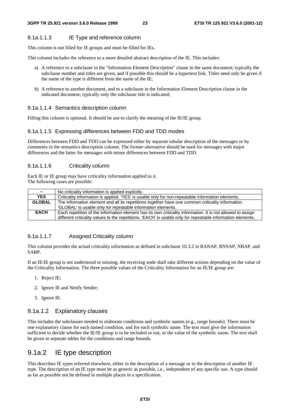#### 9.1a.1.1.3 IE Type and reference column

This column is not filled for IE groups and must be filled for IEs.

This column includes the reference to a more detailed abstract description of the IE. This includes:

- a) A reference to a subclause in the "Information Element Description" clause in the same document; typically the subclause number and titles are given, and if possible this should be a hypertext link. Titles need only be given if the name of the type is different from the name of the IE;
- b) A reference to another document, and to a subclause in the Information Element Description clause in the indicated document; typically only the subclause title is indicated;

#### 9.1a.1.1.4 Semantics description column

Filling this column is optional. It should be use to clarify the meaning of the IE/IE group.

#### 9.1a.1.1.5 Expressing differences between FDD and TDD modes

Differences between FDD and TDD can be expressed either by separate tabular description of the messages or by comments in the semantics description column. The former alternative should be used for messages with major differences and the latter for messages with minor differences between FDD and TDD.

#### 9.1a.1.1.6 Criticality column

Each IE or IE group may have criticality information applied to it. The following cases are possible:

| $\overline{\phantom{0}}$ | No criticality information is applied explicitly.                                                           |
|--------------------------|-------------------------------------------------------------------------------------------------------------|
| <b>YES</b>               | Criticality information is applied. 'YES' is usable only for non-repeatable information elements.           |
| <b>GLOBAL</b>            | The information element and all its repetitions together have one common criticality information.           |
|                          | 'GLOBAL' is usable only for repeatable information elements.                                                |
| <b>EACH</b>              | Each repetition of the information element has its own criticality information. It is not allowed to assign |
|                          | different criticality values to the repetitions. 'EACH' is usable only for repeatable information elements. |

### 9.1a.1.1.7 Assigned Criticality column

This column provides the actual criticality information as defined in subclause 10.3.2 in RANAP, RNSAP, NBAP, and SABP.

If an IE/IE group is not understood or missing, the receiving node shall take different actions depending on the value of the Criticality Information. The three possible values of the Criticality Information for an IE/IE group are:

- 1. Reject IE;
- 2. Ignore IE and Notify Sender;
- 3. Ignore IE.

### 9.1a.1.2 Explanatory clauses

This includes the subclauses needed to elaborate conditions and symbolic names (e.g., range bounds). There must be one explanatory clause for each named condition, and for each symbolic name. The text must give the information sufficient to decide whether the IE/IE group is to be included or not, or the value of the symbolic name. The text shall be given in separate tables for the conditions and range bounds.

# 9.1a.2 IE type description

This describes IE types referred elsewhere, either in the description of a message or in the description of another IE type. The description of an IE type must be as generic as possible, i.e., independent of any specific use. A type should as far as possible not be defined in multiple places in a specification.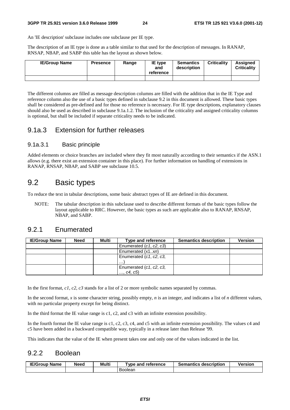An 'IE description' subclause includes one subclause per IE type.

The description of an IE type is done as a table similar to that used for the description of messages. In RANAP, RNSAP, NBAP, and SABP this table has the layout as shown below.

| <b>IE/Group Name</b> | <b>Presence</b> | Range | <b>IE</b> type<br>and<br>reference | <b>Semantics</b><br>description | <b>Criticality</b> | <b>Assigned</b><br><b>Criticality</b> |
|----------------------|-----------------|-------|------------------------------------|---------------------------------|--------------------|---------------------------------------|
|                      |                 |       |                                    |                                 |                    |                                       |

The different columns are filled as message description columns are filled with the addition that in the IE Type and reference column also the use of a basic types defined in subclause 9.2 in this document is allowed. These basic types shall be considered as pre-defined and for those no reference is necessary. For IE type descriptions, explanatory clauses should also be used as described in subclause 9.1a.1.2. The inclusion of the criticality and assigned criticality columns is optional, but shall be included if separate criticality needs to be indicated.

### 9.1a.3 Extension for further releases

### 9.1a.3.1 Basic principle

Added elements or choice branches are included where they fit most naturally according to their semantics if the ASN.1 allows (e.g. there exist an extension container in this place). For further information on handling of extensions in RANAP, RNSAP, NBAP, and SABP see subclause 10.5.

# 9.2 Basic types

To reduce the text in tabular descriptions, some basic abstract types of IE are defined in this document.

NOTE: The tabular description in this subclause used to describe different formats of the basic types follow the layout applicable to RRC. However, the basic types as such are applicable also to RANAP, RNSAP, NBAP, and SABP.

## 9.2.1 Enumerated

| <b>IE/Group Name</b> | <b>Need</b> | Multi | Type and reference                   | <b>Semantics description</b> | <b>Version</b> |
|----------------------|-------------|-------|--------------------------------------|------------------------------|----------------|
|                      |             |       | Enumerated (c1, c2, c3)              |                              |                |
|                      |             |       | Enumerated (x1xn)                    |                              |                |
|                      |             |       | Enumerated (c1, c2, c3,<br>.         |                              |                |
|                      |             |       | Enumerated (c1, c2, c3,<br>, c4, c5) |                              |                |

In the first format, *c1*, *c2*, *c3* stands for a list of 2 or more symbolic names separated by commas.

In the second format, *x* is some character string, possibly empty, *n* is an integer, and indicates a list of *n* different values, with no particular property except for being distinct.

In the third format the IE value range is c1, c2, and c3 with an infinite extension possibility.

In the fourth format the IE value range is c1, c2, c3, c4, and c5 with an infinite extension possibility. The values c4 and c5 have been added in a backward compatible way, typically in a release later than Release '99.

This indicates that the value of the IE when present takes one and only one of the values indicated in the list.

### 9.2.2 Boolean

| <b>IE/Group Name</b> | Need | Multi | <b>T</b> vpe and reference | <b>Semantics description</b> | <b>Version</b> |
|----------------------|------|-------|----------------------------|------------------------------|----------------|
|                      |      |       | Boolean                    |                              |                |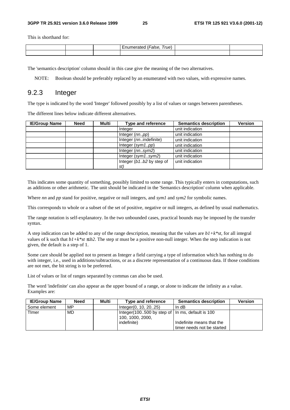This is shorthand for:

|  | –<br>rue. |  |
|--|-----------|--|
|  |           |  |

The 'semantics description' column should in this case give the meaning of the two alternatives.

NOTE: Boolean should be preferably replaced by an enumerated with two values, with expressive names.

### 9.2.3 Integer

The type is indicated by the word 'Integer' followed possibly by a list of values or ranges between parentheses.

The different lines below indicate different alternatives.

| <b>IE/Group Name</b> | <b>Need</b> | Multi | <b>Type and reference</b> | <b>Semantics description</b> | <b>Version</b> |
|----------------------|-------------|-------|---------------------------|------------------------------|----------------|
|                      |             |       | Integer                   | unit indication              |                |
|                      |             |       | Integer (nnpp)            | unit indication              |                |
|                      |             |       | Integer (nnindefinite)    | unit indication              |                |
|                      |             |       | Integer $(sym1pp)$        | unit indication              |                |
|                      |             |       | Integer (nnsym2)          | unit indication              |                |
|                      |             |       | Integer $(sym1sym2)$      | unit indication              |                |
|                      |             |       | Integer (b1b2 by step of  | unit indication              |                |
|                      |             |       | st)                       |                              |                |

This indicates some quantity of something, possibly limited to some range. This typically enters in computations, such as additions or other arithmetic. The unit should be indicated in the 'Semantics description' column when applicable.

Where *nn* and *pp* stand for positive, negative or null integers, and *sym1* and *sym2* for symbolic names.

This corresponds to whole or a subset of the set of positive, negative or null integers, as defined by usual mathematics.

The range notation is self-explanatory. In the two unbounded cases, practical bounds may be imposed by the transfer syntax.

A step indication can be added to any of the range description, meaning that the values are *b1+k\*st*, for all integral values of k such that  $b1+k*st \le b2$ . The step *st* must be a positive non-null integer. When the step indication is not given, the default is a step of 1.

Some care should be applied not to present as Integer a field carrying a type of information which has nothing to do with integer, i.e., used in additions/subtractions, or as a discrete representation of a continuous data. If those conditions are not met, the bit string is to be preferred.

List of values or list of ranges separated by commas can also be used.

The word 'indefinite' can also appear as the upper bound of a range, or alone to indicate the infinity as a value. Examples are:

| <b>IE/Group Name</b> | <b>Need</b> | Multi | Type and reference                                                     | <b>Semantics description</b> | <b>Version</b> |
|----------------------|-------------|-------|------------------------------------------------------------------------|------------------------------|----------------|
| Some element         | MP          |       | Integer(0, 10, 2025)                                                   | In dB                        |                |
| Timer                | MD          |       | Integer (100500 by step of   In ms, default is 100<br>100, 1000, 2000. |                              |                |
|                      |             |       | indefinite)                                                            | Indefinite means that the    |                |
|                      |             |       |                                                                        | timer needs not be started   |                |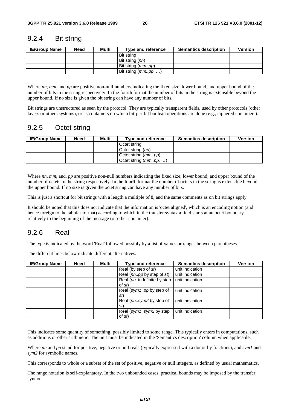### 9.2.4 Bit string

| <b>IE/Group Name</b> | <b>Need</b> | Multi | Type and reference  | <b>Semantics description</b> | <b>Version</b> |
|----------------------|-------------|-------|---------------------|------------------------------|----------------|
|                      |             |       | Bit string          |                              |                |
|                      |             |       | Bit string (nn)     |                              |                |
|                      |             |       | Bit string (mmpp)   |                              |                |
|                      |             |       | Bit string (mmpp, ) |                              |                |

Where *nn*, *mm*, and *pp* are positive non-null numbers indicating the fixed size, lower bound, and upper bound of the number of bits in the string respectively. In the fourth format the number of bits in the string is extensible beyond the upper bound. If no size is given the bit string can have any number of bits.

Bit strings are unstructured as seen by the protocol. They are typically transparent fields, used by other protocols (other layers or others systems), or as containers on which bit-per-bit boolean operations are done (e.g., ciphered containers).

# 9.2.5 Octet string

| <b>IE/Group Name</b> | Need | Multi | Type and reference           | <b>Semantics description</b> | <b>Version</b> |
|----------------------|------|-------|------------------------------|------------------------------|----------------|
|                      |      |       | Octet string                 |                              |                |
|                      |      |       | Octet string (nn)            |                              |                |
|                      |      |       | Octet string ( <i>mmpp</i> ) |                              |                |
|                      |      |       | Octet string $(mm. pp, )$    |                              |                |

Where *nn*, *mm*, and, *pp* are positive non-null numbers indicating the fixed size, lower bound, and upper bound of the number of octets in the string respectively. In the fourth format the number of octets in the string is extensible beyond the upper bound. If no size is given the octet string can have any number of bits.

This is just a shortcut for bit strings with a length a multiple of 8, and the same comments as on bit strings apply.

It should be noted that this does not indicate that the information is 'octet aligned', which is an encoding notion (and hence foreign to the tabular format) according to which in the transfer syntax a field starts at an octet boundary relatively to the beginning of the message (or other container).

# 9.2.6 Real

The type is indicated by the word 'Real' followed possibly by a list of values or ranges between parentheses.

The different lines below indicate different alternatives.

| <b>IE/Group Name</b> | <b>Need</b> | Multi | <b>Type and reference</b>            | <b>Semantics description</b> | <b>Version</b> |
|----------------------|-------------|-------|--------------------------------------|------------------------------|----------------|
|                      |             |       | Real (by step of st)                 | unit indication              |                |
|                      |             |       | Real (nnpp by step of st)            | unit indication              |                |
|                      |             |       | Real (nnindefinite by step<br>of st) | unit indication              |                |
|                      |             |       | Real (sym1pp by step of<br>St)       | unit indication              |                |
|                      |             |       | Real (nnsym2 by step of<br>st        | unit indication              |                |
|                      |             |       | Real (sym1sym2 by step<br>of st)     | unit indication              |                |

This indicates some quantity of something, possibly limited to some range. This typically enters in computations, such as additions or other arithmetic. The unit must be indicated in the 'Semantics description' column when applicable.

Where *nn* and *pp* stand for positive, negative or null reals (typically expressed with a dot or by fractions), and *sym1* and *sym2* for symbolic names.

This corresponds to whole or a subset of the set of positive, negative or null integers, as defined by usual mathematics.

The range notation is self-explanatory. In the two unbounded cases, practical bounds may be imposed by the transfer syntax.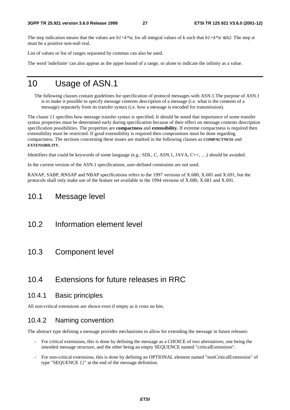The step indication means that the values are  $b1+k*st$ , for all integral values of k such that  $b1+k*st \leq b2$ . The step *st* must be a positive non-null real.

List of values or list of ranges separated by commas can also be used.

The word 'indefinite' can also appear as the upper bound of a range, or alone to indicate the infinity as a value.

# 10 Usage of ASN.1

The following clauses contain guidelines for specification of protocol messages with ASN.1.The purpose of ASN.1 is to make it possible to specify message contents description of a message (i.e. what is the contents of a message) separately from its transfer syntax (i.e. how a message is encoded for transmission).

The clause 11 specifies how message transfer syntax is specified. It should be noted that importance of some transfer syntax properties must be determined early during specification because of their effect on message contents description specification possibilities. The properties are **compactness** and **extensibility.** If extreme compactness is required then extensibility must be restricted. If good extensibility is required then compromises must be done regarding compactness. The sections concerning these issues are marked in the following clauses as **COMPACTNESS** and **EXTENSIBILITY**.

Identifiers that could be keywords of some language (e.g.: SDL, C, ASN.1, JAVA, C++, …) should be avoided.

In the current version of the ASN.1 specifications, user-defined constraints are not used.

RANAP, SABP, RNSAP and NBAP specifications refers to the 1997 versions of X.680, X.681 and X.691, but the protocols shall only make use of the feature set available in the 1994 versions of X.680, X.681 and X.691.

# 10.1 Message level

- 10.2 Information element level
- 10.3 Component level

# 10.4 Extensions for future releases in RRC

### 10.4.1 Basic principles

All non-critical extensions are shown even if empty as it costs no bits.

### 10.4.2 Naming convention

The abstract type defining a message provides mechanisms to allow for extending the message in future releases:

- For critical extensions, this is done by defining the message as a CHOICE of two alternatives, one being the intended message structure, and the other being an empty SEQUENCE named "criticalExtensions".
- For non-critical extensions, this is done by defining an OPTIONAL element named "nonCriticalExtensions" of type "SEQUENCE {}" at the end of the message definition.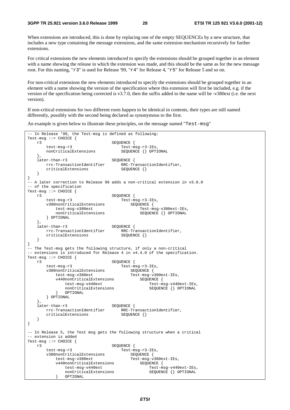When extensions are introduced, this is done by replacing one of the empty SEQUENCEs by a new structure, that includes a new type containing the message extensions, and the same extension mechanism recursively for further extensions.

For critical extensions the new elements introduced to specify the extensions should be grouped together in an element with a name showing the release in which the extension was made, and this should be the same as for the new message root. For this naming, "r3" is used for Release '99, "r4" for Release 4, "r5" for Release 5 and so on.

For non-critical extensions the new elements introduced to specify the extensions should be grouped together in an element with a name showing the version of the specification where this extension will first be included, e.g. if the version of the specification being corrected is v3.7.0, then the suffix added to the name will be -v380ext (i.e. the next version).

If non-critical extensions for two different roots happen to be identical in contents, their types are still named differently, possibly with the second being declared as synonymous to the first.

An example is given below to illustrate these principles, on the message named "Test-msg"

```
In Release '99, the Test-msg is defined as following:
Test-msg ::= CHOICE { 
    r3 SEQUENCE { 
       test-msg-r3<br>
nonCriticalExtensions<br>
SEQUENCE {} OPTIONAL
       nonCriticalExtensions
    }, 
    later-than-r3 SEQUENCE { 
        rrc-TransactionIdentifier RRC-TransactionIdentifier, 
       criticalExtensions SEQUENCE {}
    } 
} 
-- A later correction to Release 99 adds a non-critical extension in v3.8.0 
-- of the specification 
Test-msg ::= CHOICE { 
    r3 SEQUENCE { 
        test-msg-r3 Test-msg-r3-IEs, 
       v380nonCriticalExtensions SEQUENCE {
           test-msg-v380ext Test-msg-v380ext-IEs, 
           nonCriticalExtensions SEQUENCE {} OPTIONAL 
        } OPTIONAL 
    }, 
    later-than-r3 SEQUENCE { 
                               RRC-TransactionIdentifier,<br>SEQUENCE {}
       criticalExtensions
    } 
} 
 -- The Test-msg gets the following structure, if only a non-critical 
-- extensions is introduced for Release 4 in v4.4.0 of the specification.
Test-msg ::= CHOICE { 
    r3 SEQUENCE { 
       test-msg-r3 Test-msg-r3-IEs,<br>v380nonCriticalExtensions SEQUENCE {
       v380nonCriticalExtensions
           test-msg-v380ext Test-msg-v380ext-IEs, 
          v440nonCriticalExtensions<br>test-msg-v440ext
                                              Test-msg-v440ext-IEs,
          nonCriticalExtensions SEQUENCE {} OPTIONAL<br>} OPTIONAL
             OPTIONAL
        } OPTIONAL 
\},
    later-than-r3 SEQUENCE { 
       rrc-TransactionIdentifier RRC-TransactionIdentifier, 
       criticalExtensions
    } 
} 
-- In Release 5, the Test msg gets the following structure when a critical 
-- extension is added 
Test-msg ::= CHOICE { 
    r3 SEQUENCE { 
        test-msg-r3 Test-msg-r3-IEs, 
       v380nonCriticalExtensions<br>
test-msq-v380ext<br>
Test-msq-v380ext-IEs
          test-msg-v380ext
           v440nonCriticalExtensions SEQUENCE { 
               test-msg-v440ext Test-msg-v440ext-IEs, 
              nonCriticalExtensions SEQUENCE {} OPTIONAL
               } OPTIONAL
```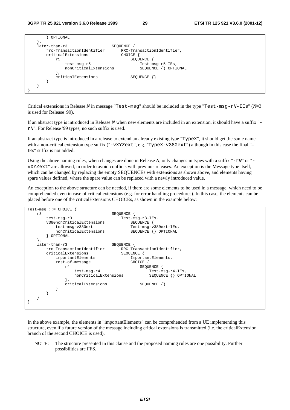| OPTIONAL                  |                            |  |
|---------------------------|----------------------------|--|
|                           |                            |  |
| later-than-r3             | SEQUENCE                   |  |
| rrc-TransactionIdentifier | RRC-TransactionIdentifier, |  |
| criticalExtensions        | CHOICE                     |  |
| r5                        | SEOUENCE                   |  |
| test-msg-r5               | Test-msg-r5-IEs,           |  |
| nonCriticalExtensions     | SEQUENCE<br>OPTIONAL       |  |
|                           |                            |  |
| criticalExtensions        | SEOUENCE                   |  |
|                           |                            |  |
|                           |                            |  |
|                           |                            |  |

Critical extensions in Release *N* in message "Test-msg" should be included in the type "Test-msg-rN-IEs" (*N*=3 is used for Release '99).

If an abstract type is introduced in Release *N* when new elements are included in an extension, it should have a suffix " rN". For Release '99 types, no such suffix is used.

If an abstract type is introduced in a release to extend an already existing type "TypeX", it should get the same name with a non-critical extension type suffix ("-vXYZext", e.g. "TypeX-v380ext") although in this case the final "-IEs" suffix is not added.

Using the above naming rules, when changes are done in Release N, only changes in types with a suffix " $-rN$ " or "vXYZext" are allowed, in order to avoid conflicts with previous releases. An exception is the Message type itself, which can be changed by replacing the empty SEQUENCEs with extensions as shown above, and elements having spare values defined, where the spare value can be replaced with a newly introduced value.

An exception to the above structure can be needed, if there are some elements to be used in a message, which need to be comprehended even in case of critical extensions (e.g. for error handling procedures). In this case, the elements can be placed before one of the criticalExtensions CHOICEs, as shown in the example below:

```
Test-msg ::= CHOICE { 
    r3 SEQUENCE { 
       test-msg-r3<br>v380nonCriticalExtensions<br>SEQUENCE {
       v380nonCriticalExtensions<br>test-msg-v380ext
          test-msg-v380ext Test-msg-v380ext-IEs,<br>nonCriticalExtensions SEOUENCE {} OPTIONAL
                                      SEQUENCE {} OPTIONAL
        } OPTIONAL 
\},
    later-than-r3 SEQUENCE { 
       rrc-TransactionIdentifier RRC-TransactionIdentifier, 
        criticalExtensions SEQUENCE { 
                                      ImportantElements,
           rest-of-message CHOICE { 
              r4 SEQUENCE { 
                  test-msg-r4 Test-msg-r4-IEs, 
                 nonCriticalExtensions SEQUENCE { } OPTIONAL
 }, 
               criticalExtensions SEQUENCE {} 
           } 
        } 
    } 
}
```
In the above example, the elements in "importantElements" can be comprehended from a UE implementing this structure, even if a future version of the message including critical extensions is transmitted (i.e. the criticalExtension branch of the second CHOICE is used).

NOTE: The structure presented in this clause and the proposed naming rules are one possibility. Further possibilities are FFS.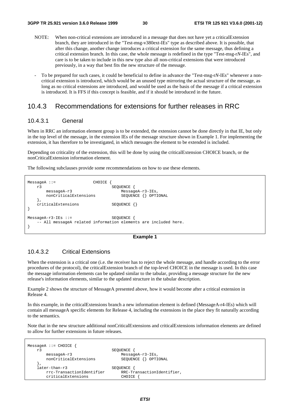- NOTE: When non-critical extensions are introduced in a message that does not have yet a criticalExtension branch, they are introduced in the "Test-msg-v380ext-IEs" type as described above. It is possible, that after this change, another change introduces a critical extension for the same message, thus defining a critical extension branch. In this case, the whole message is redefined in the type "Test-msg-r*N*-IEs", and care is to be taken to include in this new type also all non-critical extensions that were introduced previously, in a way that best fits the new structure of the message.
- To be prepared for such cases, it could be beneficial to define in advance the "Test-msg-r*N*-IEs" whenever a noncritical extension is introduced, which would be an unused type mirroring the actual structure of the message, as long as no critical extensions are introduced, and would be used as the basis of the message if a critical extension is introduced. It is FFS if this concept is feasible, and if it should be introduced in the future.

# 10.4.3 Recommendations for extensions for further releases in RRC

### 10.4.3.1 General

When in RRC an information element group is to be extended, the extension cannot be done directly in that IE, but only in the top level of the message, in the extension IEs of the message structure shown in Example 1. For implementing the extension, it has therefore to be investigated, in which messages the element to be extended is included.

Depending on criticality of the extension, this will be done by using the criticalExtension CHOICE branch, or the nonCriticalExtension information element.

The following subclauses provide some recommendations on how to use these elements.

```
MessageA ::= CHOICE {<br>r3
                              SEQUENCE {
       messageA-r3 MessageA-r3-IEs, 
      nonCriticalExtensions
    }, 
   criticalExtensions SEQUENCE {}
} 
MessageA-r3-IEs ::= SEQUENCE { 
    -- All messageA related information elements are included here. 
}
```
#### **Example 1**

### 10.4.3.2 Critical Extensions

When the extension is a critical one (i.e. the receiver has to reject the whole message, and handle according to the error procedures of the protocol), the criticalExtension branch of the top-level CHOICE in the message is used. In this case the message information elements can be updated similar to the tabular, providing a message structure for the new release's information elements, similar to the updated structure in the tabular description.

Example 2 shows the structure of MessageA presented above, how it would become after a critical extension in Release 4.

In this example, in the criticalExtensions branch a new information element is defined (MessageA-r4-IEs) which will contain all messageA specific elements for Release 4, including the extensions in the place they fit naturally according to the semantics.

Note that in the new structure additional nonCriticalExtensions and criticalExtensions information elements are defined to allow for further extensions in future releases.

```
MessageA ::= CHOICE { 
    r3 SEQUENCE { 
      messageA-r3<br>
monCriticalExtensions<br>
SEQUENCE {} OPTIONAL
      nonCriticalExtensions
 }, 
    later-than-r3 SEQUENCE { 
                                RRC-TransactionIdentifier,
      criticalExtensions CHOICE
```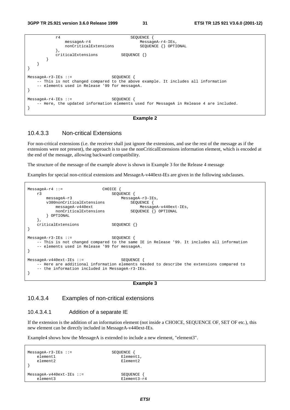| r4                                                                      | SEOUENCE                                                                                           |
|-------------------------------------------------------------------------|----------------------------------------------------------------------------------------------------|
| $mesa$ qe $A-r4$                                                        | $MessageA-r4-IEs,$                                                                                 |
| nonCriticalExtensions                                                   | SEQUENCE {} OPTIONAL                                                                               |
| criticalExtensions                                                      | SEOUENCE {}                                                                                        |
|                                                                         |                                                                                                    |
|                                                                         |                                                                                                    |
| $MessageA-r3-IEs :: =$<br>-- elements used in Release '99 for messageA. | SEOUENCE<br>-- This is not changed compared to the above example. It includes all information      |
| $MessageA-r4-IEs :: =$                                                  | SEOUENCE<br>-- Here, the updated information elements used for MessageA in Release 4 are included. |

```
Example 2
```
### 10.4.3.3 Non-critical Extensions

For non-critical extensions (i.e. the receiver shall just ignore the extensions, and use the rest of the message as if the extensions were not present), the approach is to use the nonCriticalExtensions information element, which is encoded at the end of the message, allowing backward compatibility.

The structure of the message of the example above is shown in Example 3 for the Release 4 message

Examples for special non-critical extensions and MessageA-v440ext-IEs are given in the following subclauses.

```
MessageA-r4 ::= CHOICE {<br>
r3 SEQU
                                SEQUENCE {
       messageA-r3<br>v380nonCriticalExtensions MessageA-r3-IEs,<br>SEQUENCE {
       v380nonCriticalExtensions<br>messageA-v440ext
                                               MessageA-v440ext-IEs,
           nonCriticalExtensions SEQUENCE {} OPTIONAL
         } OPTIONAL 
     }, 
    criticalExtensions SEQUENCE {}
} 
MessageA-r3-IEs ::= SEQUENCE { 
    -- This is not changed compared to the same IE in Release '99. It includes all information 
     -- elements used in Release '99 for messageA. 
} 
MessageA-v440ext-IEs ::= SEQUENCE {
    -- Here are additional information elements needed to describe the extensions compared to 
     -- the information included in MessageA-r3-IEs. 
}
```
#### **Example 3**

### 10.4.3.4 Examples of non-critical extensions

#### 10.4.3.4.1 Addition of a separate IE

If the extension is the addition of an information element (not inside a CHOICE, SEQUENCE OF, SET OF etc.), this new element can be directly included in MessageA-v440ext-IEs.

Example4 shows how the MessageA is extended to include a new element, "element3".

```
MessageA-r3-IEs ::= SEQUENCE { 
  element1 Element1,
  element2 Element2
} 
MessageA-v440ext-IEs ::= SEQUENCE {
  element3 Element3-r4
```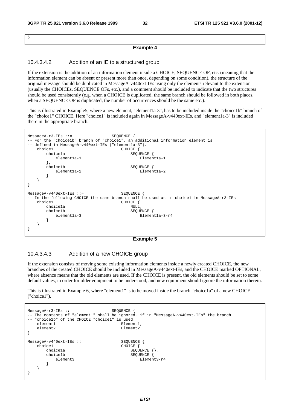}

#### **Example 4**

#### 10.4.3.4.2 Addition of an IE to a structured group

If the extension is the addition of an information element inside a CHOICE, SEQUENCE OF, etc. (meaning that the information element can be absent or present more than once, depending on some condition), the structure of the original message should be duplicated in MessageA-v440ext-IEs using only the elements relevant to the extension (usually the CHOICEs, SEQUENCE OFs, etc.), and a comment should be included to indicate that the two structures should be used consistently (e.g. when a CHOICE is duplicated, the same branch should be followed in both places, when a SEQUENCE OF is duplicated, the number of occurrences should be the same etc.).

This is illustrated in Example5, where a new element, "element1a-3", has to be included inside the "choice1b" branch of the "choice1" CHOICE. Here "choice1" is included again in MessageA-v440ext-IEs, and "element1a-3" is included there in the appropriate branch.

```
MessageA-r3-IEs ::= SEQUENCE { 
-- For the "choice1b" branch of "choice1", an additional information element is 
-- defined in MessageA-v440ext-IEs ("elementla-3").
   choice1 CHOICE {<br>choice1a choice1a
          ce1a <br>e1ement1a-1 <br>E1ement1a-1 <br>E1emen
                                          Element1a-1
       },<br>choicelb
                                      SEQUENCE {
          element1a-2 Element1a-2
 } 
    } 
} 
MessageA-v440ext-IEs ::= SEQUENCE {
-- In the following CHOICE the same branch shall be used as in choicel in MessageA-r3-IEs.
    choice1 CHOICE { 
       choice1a NULL, 
       choice1b <br> SEQUENCE {<br> Element1a-3 <br> Elemen
                                          Element1a-3-r4 } 
    } 
}
```
#### **Example 5**

### 10.4.3.4.3 Addition of a new CHOICE group

If the extension consists of moving some existing information elements inside a newly created CHOICE, the new branches of the created CHOICE should be included in MessageA-v440ext-IEs, and the CHOICE marked OPTIONAL, where absence means that the old elements are used. If the CHOICE is present, the old elements should be set to some default values, in order for older equipment to be understood, and new equipment should ignore the information therein.

This is illustrated in Example 6, where "element1" is to be moved inside the branch "choice1a" of a new CHOICE ("choice1").

```
MessageA-r3-IEs ::= SEQUENCE { 
-- The contents of "element1" shall be ignored, if in "MessageA-v440ext-IEs" the branch 
  "choice1b" of the CHOICE "choice1" is used.<br>element1 Element1
   element1<br>element2
                                   Element2
} 
MessageA-v440ext-IEs ::= SEQUENCE {<br>choice1 cloud CHOICE }
                                   CHOICE {
       choice1a SEQUENCE {},
       choice1b SEQUENCE
          element3 Element3-r4
 } 
    } 
}
```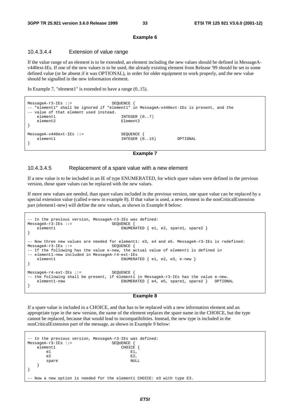#### **Example 6**

#### 10.4.3.4.4 Extension of value range

If the value range of an element is to be extended, an element including the new values should be defined in MessageAv440ext-IEs. If one of the new values is to be used, the already existing element from Release '99 should be set to some defined value (or be absent if it was OPTIONAL), in order for older equipment to work properly, and the new value should be signalled in the new information element.

In Example 7, "element1" is extended to have a range (0..15).

```
MessageA-r3-IEs ::= SEQUENCE {
-- "element1" shall be ignored if "element1" in MessageA-v440ext-IEs is present, and the 
-- value of that element used instead. 
  element1 INTEGER (0..7)
  element2 Element2
} 
MessageA-v440ext-IEs ::= SEQUENCE {
   element1 INTEGER (0..15) OPTIONAL 
}
```
**Example 7** 

#### 10.4.3.4.5 Replacement of a spare value with a new element

If a new value is to be included in an IE of type ENUMERATED, for which spare values were defined in the previous version, those spare values can be replaced with the new values.

If more new values are needed, than spare values included in the previous version, one spare value can be replaced by a special extension value (called e-new in example 8). If that value is used, a new element in the nonCriticalExtension part (element1-new) will define the new values, as shown in Example 8 below:

```
-- In the previous version, MessageA-r3-IEs was defined: 
MessageA-r3-IEs ::= SEQUENCE {<br>element1 ENUMER
                                     ENUMERATED \{ e1, e2, \text{spare1}, \text{spare2} \}} 
-- Now three new values are needed for element1: e3, e4 and e5. MessageA-r3-IEs is redefined:
MessageA-r3-IFs ::= SEQUENCE
-- If the following has the value e-new, the actual value of element1 is defined in
-- element1-new included in MessageA-r4-ext-IEs 
   element1 ENUMERATED { e1, e2, e3, e-new }
} 
MessageA-r4-ext-IEs ::= SEQUENCE { 
-- the following shall be present, if element1 in MessageA-r3-IEs has the value e-new.
   element1-new ENUMERATED { e4, e5, spare1, spare2 } OPTIONAL
}
```
#### **Example 8**

If a spare value is included in a CHOICE, and that has to be replaced with a new information element and an appropriate type in the new version, the name of the element replaces the spare name in the CHOICE, but the type cannot be replaced, because that would lead to incompatibilities. Instead, the new type is included in the nonCriticalExtension part of the message, as shown in Example 9 below:

```
In the previous version, MessageA-r3-IEs was defined:<br>ssageA-r3-IEs ::= SEOUENCE {
MessageA-r3-IEs :: =element1 CHOICE {
e1 E1,
e2 E2,
 spare NULL 
   } 
} 
 Now a new option is needed for the element1 CHOICE: e3 with type E3.
```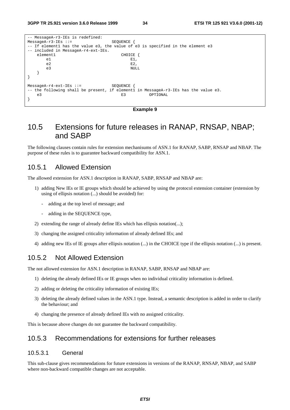| -- MessageA-r3-IEs is redefined:    |                                                                                     |
|-------------------------------------|-------------------------------------------------------------------------------------|
| $MessageA-r3-IEs :: =$              | <b>SEQUENCE</b>                                                                     |
|                                     | -- If elementl has the value e3, the value of e3 is specified in the element e3     |
| -- included in MessageA-r4-ext-IEs. |                                                                                     |
| element1                            | CHOICE {                                                                            |
| e <sub>1</sub>                      | $E1$ ,                                                                              |
| e2                                  | $E2$ ,                                                                              |
| e3                                  | NULL                                                                                |
|                                     |                                                                                     |
|                                     |                                                                                     |
|                                     |                                                                                     |
| $MessageA-r4-ext-IEs ::=$           | SEOUENCE                                                                            |
|                                     | -- the following shall be present, if elementl in MessageA-r3-IEs has the value e3. |
| e3                                  | OPTIONAL<br>E3                                                                      |
|                                     |                                                                                     |
|                                     |                                                                                     |



# 10.5 Extensions for future releases in RANAP, RNSAP, NBAP; and SABP

The following clauses contain rules for extension mechanisums of ASN.1 for RANAP, SABP, RNSAP and NBAP. The purpose of these rules is to guarantee backward compatibility for ASN.1.

### 10.5.1 Allowed Extension

The allowed extension for ASN.1 description in RANAP, SABP, RNSAP and NBAP are:

- 1) adding New IEs or IE groups which should be achieved by using the protocol extension container (extension by using of ellipsis notation (...) should be avoided) for:
	- adding at the top level of message; and
	- adding in the SEQUENCE type,
- 2) extending the range of already define IEs which has ellipsis notation(...);
- 3) changing the assigned criticality information of already defined IEs; and
- 4) adding new IEs of IE groups after ellipsis notation (...) in the CHOICE type if the ellipsis notation (...) is present.

### 10.5.2 Not Allowed Extension

The not allowed extension for ASN.1 description in RANAP, SABP, RNSAP and NBAP are:

- 1) deleting the already defined IEs or IE groups when no individual criticality information is defined.
- 2) adding or deleting the criticality information of existing IEs;
- 3) deleting the already defined values in the ASN.1 type. Instead, a semantic description is added in order to clarify the behaviour; and
- 4) changing the presence of already defined IEs with no assigned criticality.

This is because above changes do not guarantee the backward compatibility.

# 10.5.3 Recommendations for extensions for further releases

### 10.5.3.1 General

This sub-clause gives recommendations for future extensions in versions of the RANAP, RNSAP, NBAP, and SABP where non-backward compatible changes are not acceptable.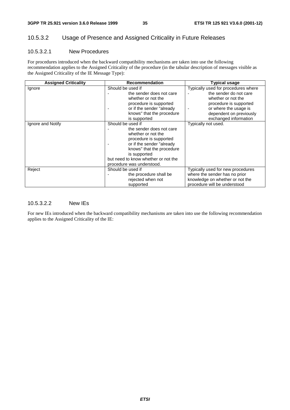#### **3GPP TR 25.921 version 3.6.0 Release 1999 35 ETSI TR 125 921 V3.6.0 (2001-12)**

# 10.5.3.2 Usage of Presence and Assigned Criticality in Future Releases

### 10.5.3.2.1 New Procedures

For procedures introduced when the backward compatibility mechanisms are taken into use the following recommendation applies to the Assigned Criticality of the procedure (in the tabular description of messages visible as the Assigned Criticality of the IE Message Type):

| <b>Assigned Criticality</b> | <b>Recommendation</b>                                                                                                                                                                                                                                       | <b>Typical usage</b>                                                                                                                                              |
|-----------------------------|-------------------------------------------------------------------------------------------------------------------------------------------------------------------------------------------------------------------------------------------------------------|-------------------------------------------------------------------------------------------------------------------------------------------------------------------|
| Ignore                      | Should be used if<br>the sender does not care<br>whether or not the<br>procedure is supported<br>or if the sender "already<br>knows" that the procedure                                                                                                     | Typically used for procedures where<br>the sender do not care<br>whether or not the<br>procedure is supported<br>or where the usage is<br>dependent on previously |
| Ignore and Notify           | is supported<br>Should be used if<br>the sender does not care<br>whether or not the<br>procedure is supported<br>or if the sender "already<br>knows" that the procedure<br>is supported<br>but need to know whether or not the<br>procedure was understood. | exchanged information<br>Typically not used.                                                                                                                      |
| Reject                      | Should be used if<br>the procedure shall be<br>rejected when not<br>supported                                                                                                                                                                               | Typically used for new procedures<br>where the sender has no prior<br>knowledge on whether or not the<br>procedure will be understood                             |

### 10.5.3.2.2 New IEs

For new IEs introduced when the backward compatibility mechanisms are taken into use the following recommendation applies to the Assigned Criticality of the IE: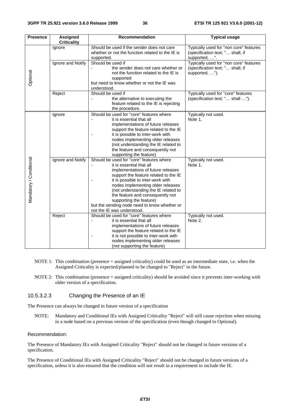| <b>Presence</b>         | <b>Assigned</b><br><b>Criticality</b> | <b>Recommendation</b>                                                                                                                                                                                                                                                                                                                                                                                                                                                                                                                                                 | <b>Typical usage</b>                                                                         |
|-------------------------|---------------------------------------|-----------------------------------------------------------------------------------------------------------------------------------------------------------------------------------------------------------------------------------------------------------------------------------------------------------------------------------------------------------------------------------------------------------------------------------------------------------------------------------------------------------------------------------------------------------------------|----------------------------------------------------------------------------------------------|
|                         | Ignore                                | Should be used if the sender does not care<br>whether or not the function related to the IE is<br>supported.                                                                                                                                                                                                                                                                                                                                                                                                                                                          | Typically used for "non core" features<br>(specification text; " shall, if<br>supported, ".  |
| Optional                | Ignore and Notify                     | Should be used if<br>the sender does not care whether or<br>not the function related to the IE is<br>supported<br>but need to know whether or not the IE was<br>understood.                                                                                                                                                                                                                                                                                                                                                                                           | Typically used for "non core" features<br>(specification text; " shall, if<br>supported, "). |
|                         | Reject                                | Should be used if<br>the alternative to executing the<br>feature related to the IE is rejecting<br>the procedure.                                                                                                                                                                                                                                                                                                                                                                                                                                                     | Typically used for "core" features<br>(specification text; " shall ").                       |
| Mandatory / Conditional | Ignore<br>Ignore and Notify           | Should be used for "core" features where<br>it is essential that all<br>implementations of future releases<br>support the feature related to the IE<br>it is possible to inter-work with<br>nodes implementing older releases<br>(not understanding the IE related to<br>the feature and consequently not<br>supporting the feature)<br>Should be used for "core" features where<br>it is essential that all<br>implementations of future releases<br>support the feature related to the IE<br>it is possible to inter-work with<br>nodes implementing older releases | Typically not used.<br>Note 1.<br>Typically not used.<br>Note 1.                             |
|                         | Reject                                | (not understanding the IE related to<br>the feature and consequently not<br>supporting the feature)<br>but the sending node need to know whether or<br>not the IE was understood.<br>Should be used for "core" features where<br>it is essential that all<br>implementations of future releases<br>support the feature related to the IE<br>it is not possible to inter-work with<br>٠<br>nodes implementing older releases<br>(not supporting the feature)                                                                                                           | Typically not used.<br>Note 2.                                                               |

- NOTE 1: This combination (presence + assigned criticality) could be used as an intermediate state, i.e. when the Assigned Criticality is expected/planned to be changed to "Reject" in the future.
- NOTE 2: This combination (presence + assigned criticality) should be avoided since it prevents inter-working with older version of a specification.

### 10.5.3.2.3 Changing the Presence of an IE

The Presence can always be changed in future version of a specification

NOTE: Mandatory and Conditional IEs with Assigned Criticality "Reject" will still cause rejection when missing in a node based on a previous version of the specification (even though changed to Optional).

#### Recommendation:

The Presence of Mandatory IEs with Assigned Criticality "Reject" should not be changed in future versions of a specification.

The Presence of Conditional IEs with Assigned Criticality "Reject" should not be changed in future versions of a specification, unless it is also ensured that the condition will not result in a requirement to include the IE.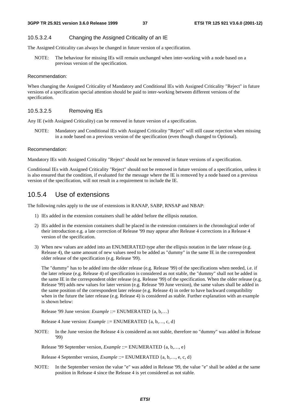### 10.5.3.2.4 Changing the Assigned Criticality of an IE

The Assigned Criticality can always be changed in future version of a specification.

NOTE: The behaviour for missing IEs will remain unchanged when inter-working with a node based on a previous version of the specification.

#### Recommendation:

When changing the Assigned Criticality of Mandatory and Conditional IEs with Assigned Criticality "Reject" in future versions of a specification special attention should be paid to inter-working between different versions of the specification.

#### 10.5.3.2.5 Removing IEs

Any IE (with Assigned Criticality) can be removed in future version of a specification.

NOTE: Mandatory and Conditional IEs with Assigned Criticality "Reject" will still cause rejection when missing in a node based on a previous version of the specification (even though changed to Optional).

#### Recommendation:

Mandatory IEs with Assigned Criticality "Reject" should not be removed in future versions of a specification.

Conditional IEs with Assigned Criticality "Reject" should not be removed in future versions of a specification, unless it is also ensured that the condition, if evaluated for the message where the IE is removed by a node based on a previous version of the specification, will not result in a requirement to include the IE.

### 10.5.4 Use of extensions

The following rules apply to the use of extensions in RANAP, SABP, RNSAP and NBAP:

- 1) IEs added in the extension containers shall be added before the ellipsis notation.
- 2) IEs added in the extension containers shall be placed in the extension containers in the chronological order of their introduction e.g. a late correction of Release '99 may appear after Release 4 corrections in a Release 4 version of the specification.
- 3) When new values are added into an ENUMERATED type after the ellipsis notation in the later release (e.g. Release 4), the same amount of new values need to be added as "dummy" in the same IE in the correspondent older release of the specification (e.g. Release '99).

 The "dummy" has to be added into the older release (e.g. Release '99) of the specifications when needed, i.e. if the later release (e.g. Release 4) of specification is considered as not stable, the "dummy" shall not be added in the same IE in the correspondent older release (e.g. Release '99) of the specification. When the older release (e.g. Release '99) adds new values for later version (e.g. Release '99 June version), the same values shall be added in the same position of the correspondent later release (e.g. Release 4) in order to have backward compatibility when in the future the later release (e.g. Release 4) is considered as stable. Further explanation with an example is shown below:

Release '99 June version: *Example* ::= ENUMERATED {a, b,…}

Release 4 June version: *Example* ::= ENUMERATED {a, b,…, c, d}

NOTE: In the June version the Release 4 is considered as not stable, therefore no "dummy" was added in Release '99)

Release '99 September version, *Example* ::= ENUMERATED {a, b,…, e}

Release 4 September version, *Example* ::= ENUMERATED {a, b,…, e, c, d}

NOTE: In the September version the value "e" was added in Release '99, the value "e" shall be added at the same position in Release 4 since the Release 4 is yet considered as not stable.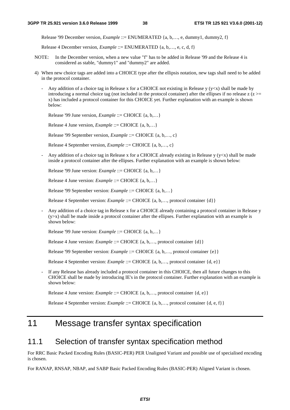Release '99 December version, *Example* ::= ENUMERATED {a, b,..., e, dummy1, dummy2, f}

Release 4 December version, *Example* ::= ENUMERATED {a, b,…, e, c, d, f}

- NOTE: In the December version, when a new value "f" has to be added in Release '99 and the Release 4 is considered as stable, "dummy1" and "dummy2" are added.
- 4) When new choice tags are added into a CHOICE type after the ellipsis notation, new tags shall need to be added in the protocol container.
	- Any addition of a choice tag in Release x for a CHOICE not existing in Release y ( $y \lt x$ ) shall be made by introducing a normal choice tag (not included in the protocol container) after the ellipses if no release  $z(z)$ x) has included a protocol container for this CHOICE yet. Further explanation with an example is shown below:

Release '99 June version, *Example* ::= CHOICE {a, b,…}

Release 4 June version, *Example* ::= CHOICE {a, b,…}

Release '99 September version, *Example* ::= CHOICE {a, b,…, c}

Release 4 September version, *Example* ::= CHOICE {a, b,…, c}

Any addition of a choice tag in Release x for a CHOICE already existing in Release  $y (y < x)$  shall be made inside a protocol container after the ellipses. Further explanation with an example is shown below:

Release '99 June version: *Example* ::= CHOICE {a, b,…}

Release 4 June version: *Example* ::= CHOICE {a, b,…}

Release '99 September version: *Example* ::= CHOICE {a, b,…}

Release 4 September version: *Example* ::= CHOICE {a, b,…, protocol container {d}}

- Any addition of a choice tag in Release x for a CHOICE already containing a protocol container in Release y (y>x) shall be made inside a protocol container after the ellipses. Further explanation with an example is shown below:

Release '99 June version: *Example* ::= CHOICE {a, b,…}

Release 4 June version: *Example* ::= CHOICE {a, b,..., protocol container {d}}

Release '99 September version: *Example* ::= CHOICE {a, b,…, protocol container {e}}

Release 4 September version: *Example* ::= CHOICE {a, b,…, protocol container {d, e}}

If any Release has already included a protocol container in this CHOICE, then all future changes to this CHOICE shall be made by introducing IE's in the protocol container. Further explanation with an example is shown below:

Release 4 June version: *Example* ::= CHOICE {a, b,..., protocol container {d, e}}

Release 4 September version: *Example* ::= CHOICE {a, b,…, protocol container {d, e, f}}

# 11 Message transfer syntax specification

# 11.1 Selection of transfer syntax specification method

For RRC Basic Packed Encoding Rules (BASIC-PER) PER Unaligned Variant and possible use of specialised encoding is chosen.

For RANAP, RNSAP, NBAP, and SABP Basic Packed Encoding Rules (BASIC-PER) Aligned Variant is chosen.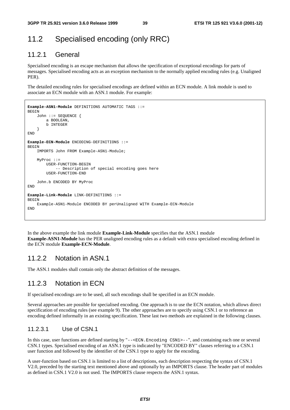# 11.2 Specialised encoding (only RRC)

# 11.2.1 General

Specialised encoding is an escape mechanism that allows the specification of exceptional encodings for parts of messages. Specialised encoding acts as an exception mechanism to the normally applied encoding rules (e.g. Unaligned PER).

The detailed encoding rules for specialised encodings are defined within an ECN module. A link module is used to associate an ECN module with an ASN.1 module. For example:

```
Example-ASN1-Module DEFINITIONS AUTOMATIC TAGS ::= 
BEGIN
     John ::= SEQUENCE { 
         a BOOLEAN, 
         b INTEGER 
     } 
END 
Example-ECN-Module ENCODING-DEFINITIONS ::= 
BEGIN
     IMPORTS John FROM Example-ASN1-Module; 
     MyProc ::= 
         USER-FUNCTION-BEGIN 
             -- Description of special encoding goes here 
         USER-FUNCTION-END 
     John.b ENCODED BY MyProc 
END 
Example-Link-Module LINK-DEFINITIONS ::= 
BEGIN 
     Example-ASN1-Module ENCODED BY perUnaligned WITH Example-ECN-Module 
END
```
In the above example the link module **Example-Link-Module** specifies that the ASN.1 module **Example-ASN1-Module** has the PER unaligned encoding rules as a default with extra specialised encoding defined in the ECN module **Example-ECN-Module**.

### 11.2.2 Notation in ASN.1

The ASN.1 modules shall contain only the abstract definition of the messages.

## 11.2.3 Notation in ECN

If specialised encodings are to be used, all such encodings shall be specified in an ECN module.

Several approaches are possible for specialised encoding. One approach is to use the ECN notation, which allows direct specification of encoding rules (see example 9). The other approaches are to specify using CSN.1 or to reference an encoding defined informally in an existing specification. These last two methods are explained in the following clauses.

### 11.2.3.1 Use of CSN.1

In this case, user functions are defined starting by "--<ECN.Encoding CSN1>--", and containing each one or several CSN.1 types. Specialised encoding of an ASN.1 type is indicated by "ENCODED BY" clauses referring to a CSN.1 user function and followed by the identifier of the CSN.1 type to apply for the encoding.

A user-function based on CSN.1 is limited to a list of descriptions, each description respecting the syntax of CSN.1 V2.0, preceded by the starting text mentioned above and optionally by an IMPORTS clause. The header part of modules as defined in CSN.1 V2.0 is not used. The IMPORTS clause respects the ASN.1 syntax.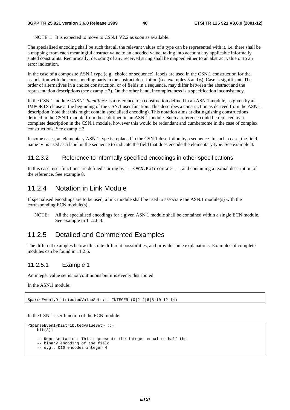NOTE 1: It is expected to move to CSN.1 V2.2 as soon as available.

The specialised encoding shall be such that all the relevant values of a type can be represented with it, i.e. there shall be a mapping from each meaningful abstract value to an encoded value, taking into account any applicable informally stated constraints. Reciprocally, decoding of any received string shall be mapped either to an abstract value or to an error indication.

In the case of a composite ASN.1 type (e.g., choice or sequence), labels are used in the CSN.1 construction for the association with the corresponding parts in the abstract description (see examples 5 and 6). Case is significant. The order of alternatives in a choice construction, or of fields in a sequence, may differ between the abstract and the representation descriptions (see example 7). On the other hand, incompleteness is a specification inconsistency.

In the CSN.1 module <ASN1.*Identifier*> is a reference to a construction defined in an ASN.1 module, as given by an IMPORTS clause at the beginning of the CSN.1 user function. This describes a construction as derived from the ASN.1 description (note that this might contain specialised encoding). This notation aims at distinguishing constructions defined in the CSN.1 module from those defined in an ASN.1 module. Such a reference could be replaced by a complete description in the CSN.1 module, however this would be redundant and cumbersome in the case of complex constructions. See example 3.

In some cases, an elementary ASN.1 type is replaced in the CSN.1 description by a sequence. In such a case, the field name 'V' is used as a label in the sequence to indicate the field that does encode the elementary type. See example 4.

### 11.2.3.2 Reference to informally specified encodings in other specifications

In this case, user functions are defined starting by "-- $\epsilon$ ECN.Reference>--", and containing a textual description of the reference. See example 8.

### 11.2.4 Notation in Link Module

If specialised encodings are to be used, a link module shall be used to associate the ASN.1 module(s) with the corresponding ECN module(s).

NOTE: All the specialised encodings for a given ASN.1 module shall be contained within a single ECN module. See example in 11.2.6.3.

# 11.2.5 Detailed and Commented Examples

The different examples below illustrate different possibilities, and provide some explanations. Examples of complete modules can be found in 11.2.6.

### 11.2.5.1 Example 1

An integer value set is not continuous but it is evenly distributed.

In the ASN.1 module:

SparseEvenlyDistributedValueSet ::= INTEGER (0|2|4|6|8|10|12|14)

In the CSN.1 user function of the ECN module:

```
<SparseEvenlyDistributedValueSet> ::= 
   \text{hi} + (3);
     -- Representation: This represents the integer equal to half the 
    -- binary encoding of the field 
    -- e.g., 010 encodes integer 4
```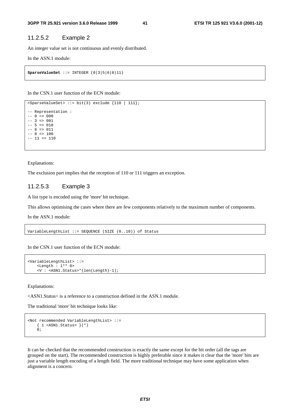### 11.2.5.2 Example 2

An integer value set is not continuous and evenly distributed.

In the ASN.1 module:

```
SparseValueSet ::= INTEGER (0|3|5|6|8|11)
```
In the CSN.1 user function of the ECN module:

```
sSparseValueSet> ::= bit(3) exclude {110 | 111};
-- Representation : 
-- 0 \Rightarrow 000
-- 3 => 001-- 5 => 010-- 6 => 011-- 8 => 100-- 11 => 110
```
Explanations:

The exclusion part implies that the reception of 110 or 111 triggers an exception.

#### 11.2.5.3 Example 3

A list type is encoded using the 'more' bit technique.

This allows optimising the cases where there are few components relatively to the maximum number of components.

In the ASN.1 module:

VariableLengthList ::= SEQUENCE (SIZE (0..10)) of Status

In the CSN.1 user function of the ECN module:

```
<VariableLengthList> ::= 
    <Length : 1** 0> 
     <V : <ASN1.Status>*(len(Length)-1);
```
Explanations:

<ASN1.Status> is a reference to a construction defined in the ASN.1 module.

The traditional 'more' bit technique looks like:

```
<Not recommended VariableLengthList> ::= 
     { 1 <ASN1.Status> }(*) 
    \dot{0};
```
It can be checked that the recommended construction is exactly the same except for the bit order (all the tags are grouped on the start). The recommended construction is highly preferable since it makes it clear that the 'more' bits are just a variable length encoding of a length field. The more traditional technique may have some application when alignment is a concern.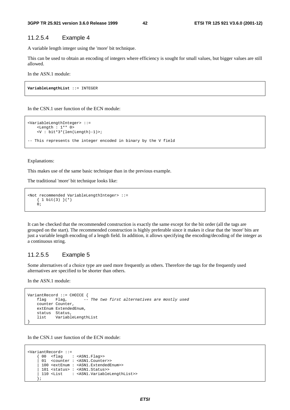### 11.2.5.4 Example 4

A variable length integer using the 'more' bit technique.

This can be used to obtain an encoding of integers where efficiency is sought for small values, but bigger values are still allowed.

In the ASN.1 module:

**VariableLengthList** ::= INTEGER

In the CSN.1 user function of the ECN module:

```
<VariableLengthInteger> ::= 
     <Length : 1** 0> 
     <V : bit*3*(len(Length)-1)>; 
-- This represents the integer encoded in binary by the V field
```
Explanations:

This makes use of the same basic technique than in the previous example.

The traditional 'more' bit technique looks like:

```
<Not recommended VariableLengthInteger> ::= 
    \{ 1 bit(3) \} (*)
     0;
```
It can be checked that the recommended construction is exactly the same except for the bit order (all the tags are grouped on the start). The recommended construction is highly preferable since it makes it clear that the 'more' bits are just a variable length encoding of a length field. In addition, it allows specifying the encoding/decoding of the integer as a continuous string.

### 11.2.5.5 Example 5

Some alternatives of a choice type are used more frequently as others. Therefore the tags for the frequently used alternatives are specified to be shorter than others.

In the ASN.1 module:

```
VariantRecord ::= CHOICE { 
     flag Flag, -- The two first alternatives are mostly used 
     counter Counter, 
     extEnum ExtendedEnum, 
    status Status,<br>list Variabl
             list VariableLengthList 
}
```
In the CSN.1 user function of the ECN module:

```
<VariantRecord> ::= 
     { 00 <flag : <ASN1.Flag>> 
      01 <counter : <ASN1.Counter>>
      | 100 <extEnum : <ASN1.ExtendedEnum>> 
       | 101 <status> : <ASN1.Status>> 
      | 110 <List : <ASN1.VariableLengthList>> 
      };
```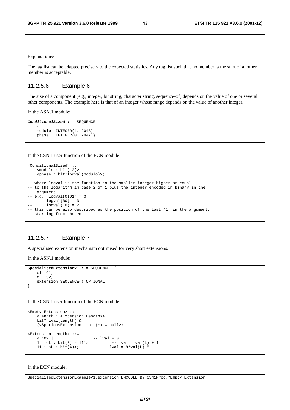Explanations:

The tag list can be adapted precisely to the expected statistics. Any tag list such that no member is the start of another member is acceptable.

#### 11.2.5.6 Example 6

The size of a component (e.g., integer, bit string, character string, sequence-of) depends on the value of one or several other components. The example here is that of an integer whose range depends on the value of another integer.

In the ASN.1 module:

```
ConditionalSized ::= SEQUENCE 
 { 
   modulo INTEGER(1..2048)phase INTEGER(0..2047)}
```
In the CSN.1 user function of the ECN module:

```
<ConditionalSized> ::= 
    <modulo : bit(12)> 
    <phase : bit*logval(modulo)>; 
-- where logval is the function to the smaller integer higher or equal 
-- to the logarithm in base 2 of 1 plus the integer encoded in binary in the 
-- argument 
-- e.g., logval(0101) = 3 
-- logval(00) = 0-- 10qval(10) = 2-- this can be also described as the position of the last '1' in the argument, 
-- starting from the end
```
### 11.2.5.7 Example 7

A specialised extension mechanism optimised for very short extensions.

In the ASN.1 module:

```
SpecialisedExtensionV1 ::= SEQUENCE { 
     c1 C1, 
     c2 C2, 
     extension SEQUENCE{} OPTIONAL 
}
```
In the CSN.1 user function of the ECN module:

```
<Empty Extension> ::= 
      <Length : <Extension Length>> 
      bit* lval(Length) & 
      {<SpuriousExtension : bit(*) = null>; 
<Extension Length> ::= 
     \text{L}: 0 > |<br>1 \cdots i bit(3) - 111 \cdots | -- lval = 0<br>1 \cdots i bit(3) - 111 \cdots | -- lval = val(L) + 1
     1 <L : bit(3) – 111> |<br>1111 <L : bit(4)>;
                                             -- lval = 8*val(L)+8
```
In the ECN module:

SpecialisedExtensionExampleV1.extension ENCODED BY CSN1Proc."Empty Extension"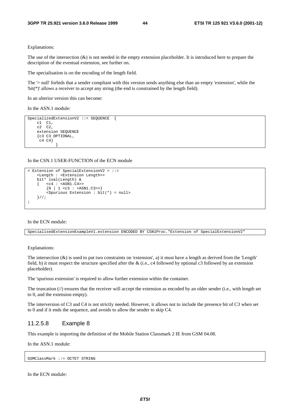Explanations:

The use of the intersection  $(x)$  is not needed in the empty extension placeholder. It is introduced here to prepare the description of the eventual extension, see further on.

The specialisation is on the encoding of the length field.

The '= null' forbids that a sender compliant with this version sends anything else than an empty 'extension', while the 'bit(\*)' allows a receiver to accept any string (the end is constrained by the length field).

In an ulterior version this can become:

In the ASN.1 module:

```
SpecializedExtensionV2 ::= SEQUENCE { 
      c1 C1, 
     c2 \overline{c2},
      extension SEQUENCE 
      {c3 C3 OPTIONAL, 
      \begin{bmatrix} c4 & c4 \end{bmatrix} }
```
In the CSN.1 USER-FUNCTION of the ECN module

```
< Extension of SpecialExtensionV2 > ::= 
     <Length : <Extension Length>> 
     bit* lval(Length) & 
    \{ \text{ cc4 : } \text{ASN1.C4} \}\{0 \mid 1 \leq c3 : \text{SNN1.C3>>}\} <Spurious Extension : bit(*) = null> 
     }//; 
;
```
In the ECN module:

SpecialisedExtensionExampleV1.extension ENCODED BY CSN1Proc."Extension of SpecialExtensionV2"

Explanations:

The intersection  $(x)$  is used to put two constraints on 'extension', a) it must have a length as derived from the 'Length' field, b) it must respect the structure specified after the & (i.e., c4 followed by optional c3 followed by an extension placeholder).

The 'spurious extension' is required to allow further extension within the container.

The truncation  $(\frac{1}{\ell})$  ensures that the receiver will accept the extension as encoded by an older sender (i.e., with length set to 0, and the extension empty).

The interversion of C3 and C4 is not strictly needed. However, it allows not to include the presence bit of C3 when set to 0 and if it ends the sequence, and avoids to allow the sender to skip C4.

#### 11.2.5.8 Example 8

This example is importing the definition of the Mobile Station Classmark 2 IE from GSM 04.08.

In the ASN.1 module:

GSMClassMark ::= OCTET STRING

In the ECN module: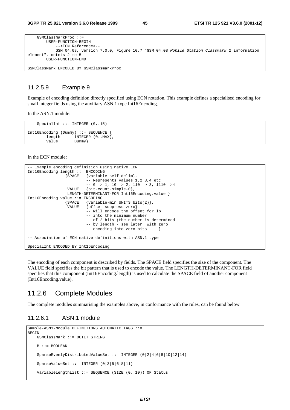| $GSMC1$ assmarkProc ::=                                                                 |
|-----------------------------------------------------------------------------------------|
| USER-FUNCTION-BEGIN                                                                     |
| -- <ecn.reference>--</ecn.reference>                                                    |
| GSM 04.08, version 7.0.0, Figure 10.7 "GSM 04.08 Mobile Station Classmark 2 information |
| element", octets 2 to 5                                                                 |
| USER-FUNCTION-END                                                                       |
|                                                                                         |
| GSMClassMark ENCODED BY GSMClassmarkProc                                                |

#### 11.2.5.9 Example 9

Example of encoding definition directly specified using ECN notation. This example defines a specialised encoding for small integer fields using the auxiliary ASN.1 type Int16Encoding.

In the ASN.1 module:

```
SpecialInt ::= INTEGER (0..15)
Int16Encoding {Dummy} ::= SEQUENCE<br>length INTEGER (0..MAX
                       INTEGER (0.MAX),
         value Dummy}
```
In the ECN module:

```
-- Example encoding definition using native ECN 
Int16Encoding.length ::= ENCODING 
                  {SPACE {variable-self-delim}, 
                          \overline{1,2,3,4} etc
                          -- 0 => 1, 10 => 2, 110 => 3, 1110 =>4
                  VALUE {bit-count-simple-0}, 
                  LENGTH-DETERMINANT-FOR Int16Encoding.value } 
Int16Encoding.value ::= ENCODING<br>{SPACE {variab}
                          \{variable-min UNITS bits(2)\}, VALUE {offset-suppress-zero} 
                           -- Will encode the offset for lb 
                           -- into the minimum number 
                           -- of 2-bits (the number is determined 
                           -- by length - see later, with zero 
                           -- encoding into zero bits. -- } 
-- Association of ECN native definitions with ASN.1 type 
SpecialInt ENCODED BY Int16Encoding
```
The encoding of each component is described by fields. The SPACE field specifies the size of the component. The VALUE field specifies the bit pattern that is used to encode the value. The LENGTH-DETERMINANT-FOR field specifies that this component (Int16Encoding.length) is used to calculate the SPACE field of another component (Int16Encoding.value).

### 11.2.6 Complete Modules

The complete modules summarising the examples above, in conformance with the rules, can be found below.

### 11.2.6.1 ASN.1 module

```
Sample-ASN1-Module DEFINITIONS AUTOMATIC TAGS ::= 
BEGIN
     GSMClassMark ::= OCTET STRING 
    B ::= BOOLEAN 
     SparseEvenlyDistributedValueSet ::= INTEGER (0|2|4|6|8|10|12|14) 
     SparseValueSet ::= INTEGER (0|3|5|6|8|11) 
     VariableLengthList ::= SEQUENCE (SIZE (0..10)) OF Status
```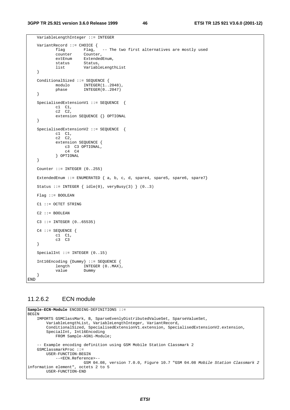```
 VariableLengthInteger ::= INTEGER 
   VariantRecord ::= CHOICE {<br>flag Flag,
           flag Flag, -- The two first alternatives are mostly used
            counter Counter, 
           extEnum ExtendedEnum,<br>status Status,
                       Status,
            list VariableLengthList 
    } 
    ConditionalSized ::= SEQUENCE { 
           modulo INTEGER(1..2048),
            phase INTEGER(0..2047) 
    } 
    SpecialisedExtensionV1 ::= SEQUENCE { 
 c1 C1, 
c2 \quad c2, extension SEQUENCE {} OPTIONAL 
    } 
    SpecialisedExtensionV2 ::= SEQUENCE { 
 c1 C1, 
c2 \quad c2, extension SEQUENCE { 
                c3 C3 OPTIONAL, 
                 c4 C4 
            } OPTIONAL 
    } 
   Counter ::= INTEGER (0..255)ExtendedEnum := ENUMERATED \{a, b, c, d, space4, space4, space5, space6, space7\}Status ::= INTEGER \{ idle(0), veryBusy(3) \} (0..3)
    Flag ::= BOOLEAN 
    C1 ::= OCTET STRING 
   C2 :: = BOOLEANC3 := INTER (0.65535) C4 ::= SEQUENCE { 
 c1 C1, 
 c3 C3 
    } 
   SpecialInt ::= INTEGER (0..15)
    Int16Encoding {Dummy} ::= SEQUENCE { 
           length INTEGER (0..MAX),<br>value Dummv
           value
    }
END
```
### 11.2.6.2 ECN module

```
Sample-ECN-Module ENCODING-DEFINITIONS ::= 
BEGIN 
 IMPORTS GSMClassMark, B, SparseEvenlyDistributedValueSet, SparseValueSet, 
 VariableLengthList, VariableLengthInteger, VariantRecord, 
         ConditionalSized, SpecialisedExtensionV1.extension, SpecialisedExtensionV2.extension, 
         SpecialInt, Int16Encoding 
             FROM Sample-ASN1-Module; 
     -- Example encoding definition using GSM Mobile Station Classmark 2 
     GSMClassmarkProc ::= 
         USER-FUNCTION-BEGIN 
             --<ECN.Reference>-- 
                         GSM 04.08, version 7.0.0, Figure 10.7 "GSM 04.08 Mobile Station Classmark 2
information element", octets 2 to 5 
         USER-FUNCTION-END
```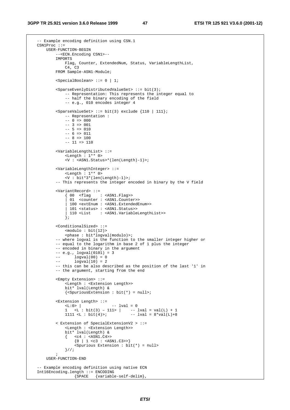#### **3GPP TR 25.921 version 3.6.0 Release 1999 47 ETSI TR 125 921 V3.6.0 (2001-12)**

```
- Example encoding definition using CSN.1
   CSN1Proc :: = USER-FUNCTION-BEGIN 
              --<ECN.Encoding CSN1>-- 
             IMPORTS 
                  Flag, Counter, ExtendedNum, Status, VariableLengthList, 
                 C4, C3 FROM Sample-ASN1-Module; 
             <SpecialBoolean> ::= 0 | 1; 
             <SparseEvenlyDistributedValueSet> ::= bit(3); 
                  -- Representation: This represents the integer equal to 
                  -- half the binary encoding of the field 
                  -- e.g., 010 encodes integer 4 
             s < SparseValueSet> : = bit(3) exclude {110 | 111};
                  -- Representation : 
                 -- 0 = > 000-- 3 => 001-- 5 => 010-- 6 => 011-- 8 => 100-- 11 \Rightarrow 110
              <VariableLengthList> ::= 
                  <Length : 1** 0> 
                  <V : <ASN1.Status>*(len(Length)-1)>; 
              <VariableLengthInteger> ::= 
                  <Length : 1** 0> 
                 \langle V : \overline{bit*3*}(\text{len}(\text{Length})-1) \rangle;
              -- This represents the integer encoded in binary by the V field 
              <VariantRecord> ::= 
                 \{ 00 \text{ <} flag \text{ : } \text{<ASN1.Flag}\} | 01 <counter : <ASN1.Counter>> 
                    | 100 <extEnum : <ASN1.ExtendedEnum>> 
                    | 101 <status> : <ASN1.Status>> 
                    | 110 <List : <ASN1.VariableLengthList>> 
                 \mathfrak{z};
             <ConditionalSized> ::= 
                  <modulo : bit(12)> 
                  <phase : bit*logval(modulo)>; 
              -- where logval is the function to the smaller integer higher or 
              -- equal to the logarithm in base 2 of 1 plus the integer 
              -- encoded in binary in the argument 
             -- e.g., <math>logval(0101) = 3 -- logval(00) = 0 
            -- logval(10) = 2 -- this can be also described as the position of the last '1' in 
             -- the argument, starting from the end 
             <Empty Extension> ::= 
                  <Length : <Extension Length>> 
                  bit* lval(Length) & 
                 \{\langle < Spurious Extension : bit(*) = null>;
             <Extension Length> ::= 
                                       -- lval = 0
1 <L : bit(3) – 111> | -- lval = val(L) + 1
1111 <L : bit(4)>; - - lval = 8*val(L)+8 < Extension of SpecialExtensionV2 > ::= 
                  <Length : <Extension Length>> 
                  bit* lval(Length) & 
                 \{ \text{ cc4 : } \text{ansN1.c4}\{0 \mid 1 \leq c3 : \text{SNN1.C3>>}\} <Spurious Extension : bit(*) = null> 
                  }//; 
\mathbf{z} ; and \mathbf{z} is the set of \mathbf{z} USER-FUNCTION-END 
     -- Example encoding definition using native ECN 
     Int16Encoding.length ::= ENCODING 
                      {SPACE {variable-self-delim},
```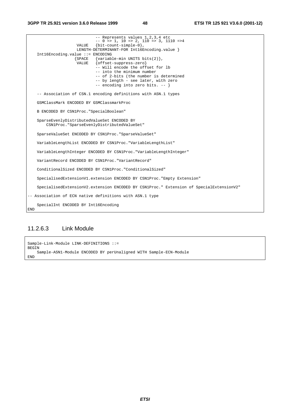#### **3GPP TR 25.921 version 3.6.0 Release 1999 48 ETSI TR 125 921 V3.6.0 (2001-12)**

 -- Represents values 1,2,3,4 etc -- 0 => 1, 10 => 2, 110 => 3, 1110 =>4 VALUE {bit-count-simple-0}, LENGTH-DETERMINANT-FOR Int16Encoding.value } Int16Encoding.value ::= ENCODING  ${Space$   ${variable-min}$  UNITS bits(2) },<br>VALUE  ${offset-{}suppress-zero}$  $\{ \text{offset-suppress-zero} \}$  -- Will encode the offset for lb -- into the minimum number -- of 2-bits (the number is determined -- by length - see later, with zero -- encoding into zero bits. -- } -- Association of CSN.1 encoding definitions with ASN.1 types GSMClassMark ENCODED BY GSMClassmarkProc B ENCODED BY CSN1Proc."SpecialBoolean" SparseEvenlyDistributedValueSet ENCODED BY CSN1Proc."SparseEvenlyDistributedValueSet" SparseValueSet ENCODED BY CSN1Proc."SparseValueSet" VariableLengthList ENCODED BY CSN1Proc."VariableLengthList" VariableLengthInteger ENCODED BY CSN1Proc."VariableLengthInteger" VariantRecord ENCODED BY CSN1Proc."VariantRecord" ConditionalSized ENCODED BY CSN1Proc."ConditionalSized" SpecialisedExtensionV1.extension ENCODED BY CSN1Proc."Empty Extension" SpecialisedExtensionV2.extension ENCODED BY CSN1Proc." Extension of SpecialExtensionV2" -- Association of ECN native definitions with ASN.1 type SpecialInt ENCODED BY Int16Encoding END

### 11.2.6.3 Link Module

Sample-Link-Module LINK-DEFINITIONS ::= **BEGIN**  Sample-ASN1-Module ENCODED BY perUnaligned WITH Sample-ECN-Module END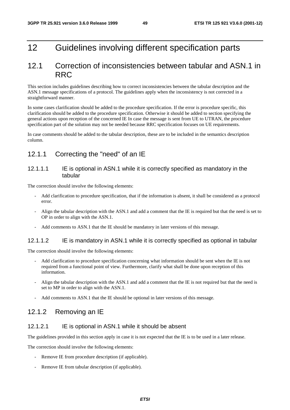# 12 Guidelines involving different specification parts

# 12.1 Correction of inconsistencies between tabular and ASN.1 in RRC

This section includes guidelines describing how to correct inconsistencies between the tabular description and the ASN.1 message specifications of a protocol. The guidelines apply when the inconsistency is not corrected in a straightforward manner.

In some cases clarification should be added to the procedure specification. If the error is procedure specific, this clarification should be added to the procedure specification. Otherwise it should be added to section specifying the general actions upon reception of the concerned IE In case the message is sent from UE to UTRAN, the procedure specification part of the solution may not be needed because RRC specification focuses on UE requirements.

In case comments should be added to the tabular description, these are to be included in the semantics description column.

## 12.1.1 Correcting the "need" of an IE

### 12.1.1.1 IE is optional in ASN.1 while it is correctly specified as mandatory in the tabular

The correction should involve the following elements:

- Add clarification to procedure specification, that if the information is absent, it shall be considered as a protocol error.
- Align the tabular description with the ASN.1 and add a comment that the IE is required but that the need is set to OP in order to align with the ASN.1.
- Add comments to ASN.1 that the IE should be mandatory in later versions of this message.

### 12.1.1.2 IE is mandatory in ASN.1 while it is correctly specified as optional in tabular

The correction should involve the following elements:

- Add clarification to procedure specification concerning what information should be sent when the IE is not required from a functional point of view. Furthermore, clarify what shall be done upon reception of this information.
- Align the tabular description with the ASN.1 and add a comment that the IE is not required but that the need is set to MP in order to align with the ASN.1.
- Add comments to ASN.1 that the IE should be optional in later versions of this message.

## 12.1.2 Removing an IE

### 12.1.2.1 IE is optional in ASN.1 while it should be absent

The guidelines provided in this section apply in case it is not expected that the IE is to be used in a later release.

The correction should involve the following elements:

- Remove IE from procedure description (if applicable).
- Remove IE from tabular description (if applicable).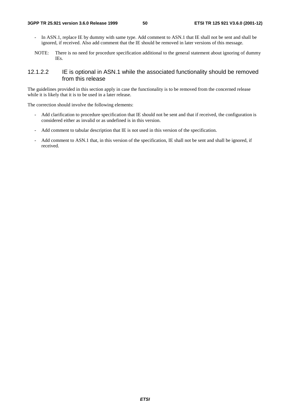- In ASN.1, replace IE by dummy with same type. Add comment to ASN.1 that IE shall not be sent and shall be ignored, if received. Also add comment that the IE should be removed in later versions of this message.
- NOTE: There is no need for procedure specification additional to the general statement about ignoring of dummy IEs.

### 12.1.2.2 IE is optional in ASN.1 while the associated functionality should be removed from this release

The guidelines provided in this section apply in case the functionality is to be removed from the concerned release while it is likely that it is to be used in a later release.

The correction should involve the following elements:

- Add clarification to procedure specification that IE should not be sent and that if received, the configuration is considered either as invalid or as undefined is in this version.
- Add comment to tabular description that IE is not used in this version of the specification.
- Add comment to ASN.1 that, in this version of the specification, IE shall not be sent and shall be ignored, if received.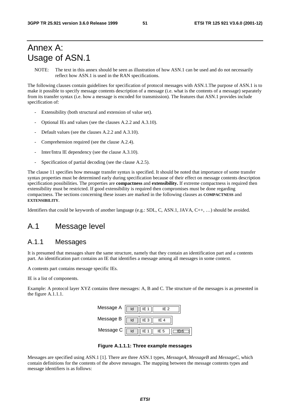# Annex A: Usage of ASN.1

NOTE: The text in this annex should be seen as illustration of how ASN.1 can be used and do not necessarily reflect how ASN.1 is used in the RAN specifications.

The following clauses contain guidelines for specification of protocol messages with ASN.1.The purpose of ASN.1 is to make it possible to specify message contents description of a message (i.e. what is the contents of a message) separately from its transfer syntax (i.e. how a message is encoded for transmission). The features that ASN.1 provides include specification of:

- Extensibility (both structural and extension of value set).
- Optional IEs and values (see the clauses A.2.2 and A.3.10).
- Default values (see the clauses A.2.2 and A.3.10).
- Comprehension required (see the clause A.2.4).
- Inter/Intra IE dependency (see the clause A.3.10).
- Specification of partial decoding (see the clause A.2.5).

The clause 11 specifies how message transfer syntax is specified. It should be noted that importance of some transfer syntax properties must be determined early during specification because of their effect on message contents description specification possibilities. The properties are **compactness** and **extensibility.** If extreme compactness is required then extensibility must be restricted. If good extensibility is required then compromises must be done regarding compactness. The sections concerning these issues are marked in the following clauses as **COMPACTNESS** and **EXTENSIBILITY**.

Identifiers that could be keywords of another language (e.g.: SDL, C, ASN.1, JAVA, C++, …) should be avoided.

# A.1 Message level

# A.1.1 Messages

It is presumed that messages share the same structure, namely that they contain an identification part and a contents part. An identification part contains an IE that identifies a message among all messages in some context.

A contents part contains message specific IEs.

IE is a list of components.

Example: A protocol layer XYZ contains three messages: A, B and C. The structure of the messages is as presented in the figure A.1.1.1.



**Figure A.1.1.1: Three example messages** 

Messages are specified using ASN.1 [1]. There are three ASN.1 types, *MessageA*, *MessageB* and *MessageC*, which contain definitions for the contents of the above messages. The mapping between the message contents types and message identifiers is as follows: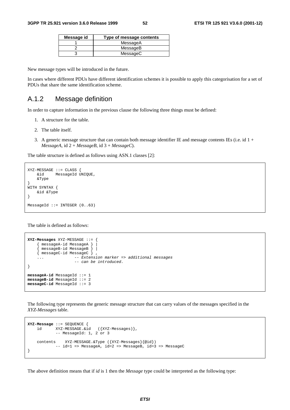| Message id | Type of message contents |
|------------|--------------------------|
|            | MessageA                 |
|            | MessageB                 |
|            | MessageC                 |

New message types will be introduced in the future.

In cases where different PDUs have different identification schemes it is possible to apply this categorisation for a set of PDUs that share the same identification scheme.

### A.1.2 Message definition

In order to capture information in the previous clause the following three things must be defined:

- 1. A structure for the table.
- 2. The table itself.
- 3. A generic message structure that can contain both message identifier IE and message contents IEs (i.e. id 1 + *MessageA*, id 2 + *MessageB*, id 3 + *MessageC*).

The table structure is defined as follows using ASN.1 classes [2]:

```
XYZ-MESSAGE ::= CLASS &id MessageId UNIQUE, 
     &Type 
} 
WITH SYNTAX { 
     &id &Type 
} 
MessageId ::= INTEGER (0..63)
```
The table is defined as follows:

```
XYZ-Messages XYZ-MESSAGE ::= { 
     { messageA-id MessageA } | 
      { messageB-id MessageB } | 
     { messageC-id MessageC } , 
                     -- Extension marker => additional messages
                      -- can be introduced. 
} 
messageA-id MessageId ::= 1 
messageB-id MessageId ::= 2 
messageC-id MessageId ::= 3
```
The following type represents the generic message structure that can carry values of the messages specified in the *XYZ-Messages* table.

```
XYZ-Message ::= SEQUENCE { 
 id XYZ-MESSAGE.&id ({XYZ-Messages)}, 
 -- MessageId: 1, 2 or 3 
    contents XYZ-MESSAGE.&Type ({XYZ-Messages}{@id}) 
           -- id=1 => MessageA, id=2 => MessageB, id=3 => MessageC
}
```
The above definition means that if *id* is 1 then the *Message* type could be interpreted as the following type: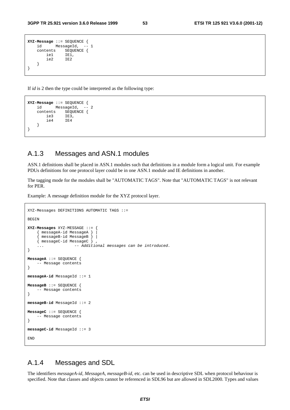```
XYZ-Message ::= SEQUENCE { 
   id MessageId, -- 1
   contents SEQUENCE {<br>iel IEl.
 ie1 IE1, 
 ie2 IE2 
    } 
}
```
If *id* is 2 then the type could be interpreted as the following type:

```
XYZ-Message ::= SEQUENCE { 
     id MessageId, -- 2 
    contents SEQUENCE {<br>ie3 IE3.
        ie3 IE3, 
        ie4 } 
}
```
## A.1.3 Messages and ASN.1 modules

ASN.1 definitions shall be placed in ASN.1 modules such that definitions in a module form a logical unit. For example PDUs definitions for one protocol layer could be in one ASN.1 module and IE definitions in another.

The tagging mode for the modules shall be "AUTOMATIC TAGS". Note that "AUTOMATIC TAGS" is not relevant for PER.

Example: A message definition module for the XYZ protocol layer.

```
XYZ-Messages DEFINITIONS AUTOMATIC TAGS ::= 
BEGIN
XYZ-Messages XYZ-MESSAGE ::= { 
     { messageA-id MessageA } | 
      { messageB-id MessageB } | 
     { messageC-id MessageC } , 
    ... -- Additional messages can be introduced.
} 
MessageA ::= SEQUENCE { 
     -- Message contents 
} 
messageA-id MessageId ::= 1 
MessageB ::= SEQUENCE { 
     -- Message contents 
} 
messageB-id MessageId ::= 2 
MessageC ::= SEQUENCE { 
     -- Message contents 
} 
messageC-id MessageId ::= 3 
END
```
### A.1.4 Messages and SDL

The identifiers *messageA-id*, *MessageA*, *messageB-id*, etc. can be used in descriptive SDL when protocol behaviour is specified. Note that classes and objects cannot be referenced in SDL96 but are allowed in SDL2000. Types and values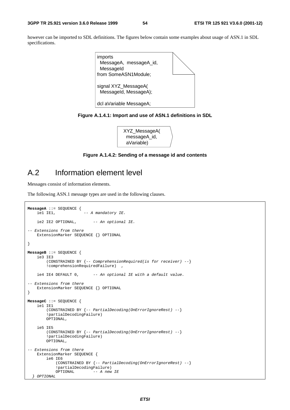however can be imported to SDL definitions. The figures below contain some examples about usage of ASN.1 in SDL specifications.



**Figure A.1.4.1: Import and use of ASN.1 definitions in SDL** 

| XYZ_MessageA( |  |
|---------------|--|
| messageA_id,  |  |
| aVariable)    |  |
|               |  |

**Figure A.1.4.2: Sending of a message id and contents** 

# A.2 Information element level

Messages consist of information elements.

The following ASN.1 message types are used in the following clauses.

```
MessageA ::= SEQUENCE { 
    iel IE1, - A mandatory IE.
     ie2 IE2 OPTIONAL, -- An optional IE.
-- Extensions from there 
     ExtensionMarker SEQUENCE {} OPTIONAL 
} 
MessageB ::= SEQUENCE { 
    ie3 IE3 
         (CONSTRAINED BY {-- ComprehensionRequired(is for receiver) --} 
         !comprehensionRequiredFailure) , 
    ie4 IE4 DEFAULT 0, -- An optional IE with a default value.
-- Extensions from there 
     ExtensionMarker SEQUENCE {} OPTIONAL 
} 
MessageC ::= SEQUENCE { 
     ie1 IE1 
         (CONSTRAINED BY {-- PartialDecoding(OnErrorIgnoreRest) --} 
         !partialDecodingFailure) 
         OPTIONAL, 
     ie5 IE5 
         (CONSTRAINED BY {-- PartialDecoding(OnErrorIgnoreRest) --} 
         !partialDecodingFailure) 
         OPTIONAL, 
-- Extensions from there
    ExtensionMarker SEQUENCE { 
         ie6 IE6 
              (CONSTRAINED BY {-- PartialDecoding(OnErrorIgnoreRest) --} 
            !partialDecodingFailure)<br>OPTIONAL -- A new
                           - A new IE
   } OPTIONAL
```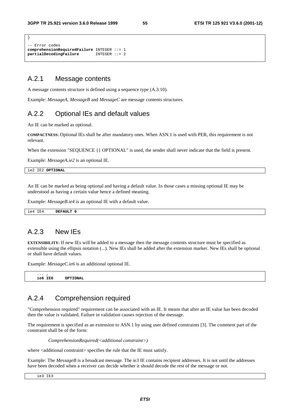```
-- Error codes 
comprehensionRequiredFailure INTEGER ::= 1 
partialDecodingFailure INTEGER ::= 2
```
# A.2.1 Message contents

A message contents structure is defined using a sequence type (A.3.10).

Example: *MessageA*, *MessageB* and *MessageC* are message contents structures.

## A.2.2 Optional IEs and default values

An IE can be marked as optional.

**COMPACTNESS:** Optional IEs shall be after mandatory ones. When ASN.1 is used with PER, this requirement is not relevant.

When the extension "SEQUENCE { } OPTIONAL" is used, the sender shall never indicate that the field is present.

Example: *MessageA.ie2* is an optional IE.

ie2 IE2 **OPTIONAL**

}

An IE can be marked as being optional and having a default value. In those cases a missing optional IE may be understood as having a certain value hence a defined meaning.

Example: *MessageB.ie4* is an optional IE with a default value.

| IE4<br>ie4 | <b>DEFAULT</b><br>the contract of the contract of the contract of the contract of the contract of the contract of the contract of |  |  |  |  |  |
|------------|-----------------------------------------------------------------------------------------------------------------------------------|--|--|--|--|--|
|------------|-----------------------------------------------------------------------------------------------------------------------------------|--|--|--|--|--|

### A.2.3 New IEs

**EXTENSIBILITY:** If new IEs will be added to a message then the message contents structure must be specified as extensible using the ellipsis notation (...). New IEs shall be added after the extension marker. New IEs shall be optional or shall have default values.

Example: *MessageC.ie6* is an additional optional IE.

 $\ldots$  ,  $\ldots$  ,  **ie6 IE6 OPTIONAL**

# A.2.4 Comprehension required

"Comprehension required" requirement can be associated with an IE. It means that after an IE value has been decoded then the value is validated. Failure in validation causes rejection of the message.

The requirement is specified as an extension to ASN.1 by using user defined constraints [3]. The comment part of the constraint shall be of the form:

*ComprehensionRequired(<additional constraint>)* 

where <additional constraint> specifies the rule that the IE must satisfy.

Example: The *MessageB* is a broadcast message. The *ie3* IE contains recipient addresses. It is not until the addresses have been decoded when a receiver can decide whether it should decode the rest of the message or not.

ie3 IE3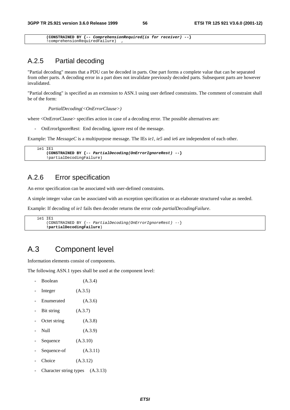**(CONSTRAINED BY {-- ComprehensionRequired(is for receiver) --}**  !comprehensionRequiredFailure) ,

### A.2.5 Partial decoding

"Partial decoding" means that a PDU can be decoded in parts. One part forms a complete value that can be separated from other parts. A decoding error in a part does not invalidate previously decoded parts. Subsequent parts are however invalidated.

"Partial decoding" is specified as an extension to ASN.1 using user defined constraints. The comment of constraint shall be of the form:

*PartialDecoding(<OnErrorClause>)* 

where <OnErrorClause> specifies action in case of a decoding error. The possible alternatives are:

- OnErrorIgnoreRest: End decoding, ignore rest of the message.

Example: The *MessageC* is a multipurpose message. The IEs *ie1*, *ie5* and *ie6* are independent of each other.

```
 ie1 IE1 
     (CONSTRAINED BY {-- PartialDecoding(OnErrorIgnoreRest) --} 
     !partialDecodingFailure)
```
# A.2.6 Error specification

An error specification can be associated with user-defined constraints.

A simple integer value can be associated with an exception specification or as elaborate structured value as needed.

Example: If decoding of *ie1* fails then decoder returns the error code *partialDecodingFailure*.

```
 ie1 IE1 
     (CONSTRAINED BY {-- PartialDecoding(OnErrorIgnoreRest) --} 
     !partialDecodingFailure)
```
# A.3 Component level

Information elements consist of components.

The following ASN.1 types shall be used at the component level:

| Boolean      | (A.3.4)                           |
|--------------|-----------------------------------|
| Integer      | (A.3.5)                           |
| Enumerated   | (A.3.6)                           |
| Bit string   | (A.3.7)                           |
| Octet string | (A.3.8)                           |
| Null         | (A.3.9)                           |
| Sequence     | (A.3.10)                          |
| Sequence-of  | (A.3.11)                          |
| Choice       | (A.3.12)                          |
|              | Character string types $(A.3.13)$ |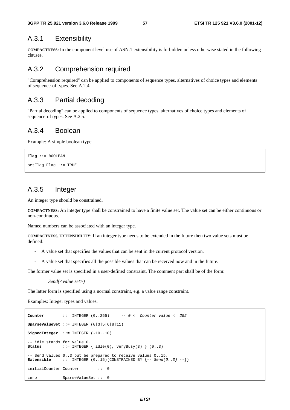### A.3.1 Extensibility

**COMPACTNESS:** In the component level use of ASN.1 extensibility is forbidden unless otherwise stated in the following clauses.

## A.3.2 Comprehension required

"Comprehension required" can be applied to components of sequence types, alternatives of choice types and elements of sequence-of types. See A.2.4.

### A.3.3 Partial decoding

"Partial decoding" can be applied to components of sequence types, alternatives of choice types and elements of sequence-of types. See A.2.5.

### A.3.4 Boolean

Example: A simple boolean type.

```
Flag ::= BOOLEAN 
setFlag Flag ::= TRUE
```
# A.3.5 Integer

An integer type should be constrained.

**COMPACTNESS:** An integer type shall be constrained to have a finite value set. The value set can be either continuous or non-continuous.

Named numbers can be associated with an integer type.

**COMPACTNESS, EXTENSIBILITY:** If an integer type needs to be extended in the future then two value sets must be defined:

- A value set that specifies the values that can be sent in the current protocol version.
- A value set that specifies all the possible values that can be received now and in the future.

The former value set is specified in a user-defined constraint. The comment part shall be of the form:

*Send(<value set>)* 

The latter form is specified using a normal constraint, e.g. a value range constraint.

Examples: Integer types and values.

```
Counter ::= INTEGER (0..255) -- 0 <= Counter value <= 255 
SparseValueSet ::= INTEGER (0|3|5|6|8|11) 
SignedInteger ::= INTEGER (-10..10) 
-- idle stands for value 0. 
Status ::= INTEGER \{ idle(0), veryBusy(3) \} (0..3)-- Send values 0..3 but be prepared to receive values 0..15.<br>Extensible ::= INTEGER (0..15)(\text{CONSTRAINED BY } \{-5, \text{Send}(0, \text{PER})\}E := \text{INTER} \{0..15\}(\text{CONSTRAINED BY } \{-\text{Send}(0..3) \}initialCounter Counter ::= 0
zero SparseValueSet ::= 0
```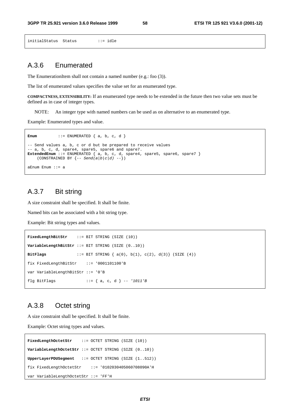```
initialStatus Status ::= idle
```
# A.3.6 Enumerated

The EnumerationItem shall not contain a named number (e.g.: foo (3)).

The list of enumerated values specifies the value set for an enumerated type.

**COMPACTNESS, EXTENSIBILITY:** If an enumerated type needs to be extended in the future then two value sets must be defined as in case of integer types.

NOTE: An integer type with named numbers can be used as on alternative to an enumerated type.

Example: Enumerated types and value.

```
Enum ::= ENUMERATED { a, b, c, d }
-- Send values a, b, c or d but be prepared to receive values 
-- a, b, c, d, spare4, spare5, spare6 and spare7. 
ExtendedEnum ::= ENUMERATED { a, b, c, d, spare4, spare5, spare6, spare7 } 
(CONSTRAINED BY \{- - Send(a|b|c|d) --})
aEnum Enum ::= a
```
## A.3.7 Bit string

A size constraint shall be specified. It shall be finite.

Named bits can be associated with a bit string type.

Example: Bit string types and values.

```
FixedLengthBitStr ::= BIT STRING (SIZE (10)) 
VariableLengthBitStr ::= BIT STRING (SIZE (0..10)) 
BitFlags ::= BIT STRING { a(0), b(1), c(2), d(3)} (SIZE (4)) 
fix FixedLengthBitStr ::= '0001101100'B 
var VariableLengthBitStr ::= '0'B 
flg BitFlags ::= { a, c, d } -- '1011'B
```
## A.3.8 Octet string

A size constraint shall be specified. It shall be finite.

Example: Octet string types and values.

```
FixedLengthOctetStr ::= OCTET STRING (SIZE (10)) 
VariableLengthOctetStr ::= OCTET STRING (SIZE (0..10)) 
UpperLayerPDUSegment ::= OCTET STRING (SIZE (1..512)) 
fix FixedLengthOctetStr ::= '0102030405060708090A'H 
var VariableLengthOctetStr ::= 'FF'H
```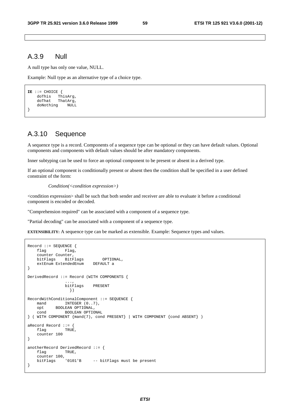### A.3.9 Null

A null type has only one value, NULL.

Example: Null type as an alternative type of a choice type.

```
IE ::= CHOICE {<br>doThis ThisArg,
 doThis ThisArg, 
 doThat ThatArg, 
     doNothing NULL 
}
```
## A.3.10 Sequence

A sequence type is a record. Components of a sequence type can be optional or they can have default values. Optional components and components with default values should be after mandatory components.

Inner subtyping can be used to force an optional component to be present or absent in a derived type.

If an optional component is conditionally present or absent then the condition shall be specified in a user defined constraint of the form:

```
Condition(<condition expression>)
```
<condition expression> shall be such that both sender and receiver are able to evaluate it before a conditional component is encoded or decoded.

"Comprehension required" can be associated with a component of a sequence type.

"Partial decoding" can be associated with a component of a sequence type.

**EXTENSIBILITY:** A sequence type can be marked as extensible. Example: Sequence types and values.

```
Record ::= SEQUENCE { 
     flag Flag, 
     counter Counter, 
    bitFlags BitFlags OPTIONAL,<br>extEnum ExtendedEnum DEFAULT a
    extEnum ExtendedEnum
} 
DerivedRecord ::= Record (WITH COMPONENTS { 
 ..., 
                   bitFlags PRESENT 
                     }) 
\texttt{RecordWithConditionalComponent} ::= \texttt{SEQUENCE}~\{ \texttt{mand} \texttt{INTER}~(0..7)\,,INTEGER (0..7),
     opt BOOLEAN OPTIONAL, 
     cond BOOLEAN OPTIONAL 
} ( WITH COMPONENT {mand(7), cond PRESENT} | WITH COMPONENT {cond ABSENT} ) 
aRecord Record ::= { 
    flag TRUE,
     counter 100 
} 
anotherRecord DerivedRecord ::= { 
    flag TRUE,
    counter 100,<br>bitFlags '0101'B
                              -- bitFlags must be present
}
```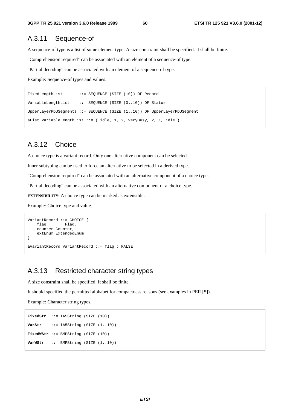### A.3.11 Sequence-of

A sequence-of type is a list of some element type. A size constraint shall be specified. It shall be finite.

"Comprehension required" can be associated with an element of a sequence-of type.

"Partial decoding" can be associated with an element of a sequence-of type.

Example: Sequence-of types and values.

```
FixedLengthList ::= SEQUENCE (SIZE (10)) OF Record
VariableLengthList ::= SEQUENCE (SIZE (0..10)) OF Status 
UpperLayerPDUSegments ::= SEQUENCE (SIZE (1..10)) OF UpperLayerPDUSegment 
aList VariableLengthList ::= { idle, 1, 2, veryBusy, 2, 1, idle }
```
# A.3.12 Choice

A choice type is a variant record. Only one alternative component can be selected.

Inner subtyping can be used to force an alternative to be selected in a derived type.

"Comprehension required" can be associated with an alternative component of a choice type.

"Partial decoding" can be associated with an alternative component of a choice type.

**EXTENSIBILITY:** A choice type can be marked as extensible.

Example: Choice type and value.

```
VariantRecord ::= CHOICE { 
    flag Flag,
     counter Counter, 
     extEnum ExtendedEnum 
} 
aVariantRecord VariantRecord ::= flag : FALSE
```
# A.3.13 Restricted character string types

A size constraint shall be specified. It shall be finite.

It should specified the permitted alphabet for compactness reasons (see examples in PER [5]).

Example: Character string types.

```
FixedStr ::= IA5String (SIZE (10)) 
VarStr ::= IA5String (SIZE (1..10)) 
FixedWStr ::= BMPString (SIZE (10)) 
VarWStr ::= BMPString (SIZE (1..10))
```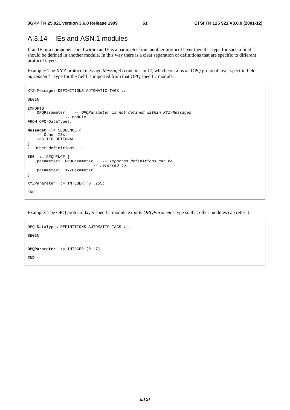# A.3.14 IEs and ASN.1 modules

If an IE or a component field within an IE is a parameter from another protocol layer then that type for such a field should be defined in another module. In this way there is a clear separation of definitions that are specific to different protocol layers.

Example: The XYZ protocol message *MessageC* contains an IE, which contains an OPQ protocol layer specific field *parameter1*. Type for the field is imported from that OPQ specific module.

```
XYZ-Messages DEFINITIONS AUTOMATIC TAGS ::= 
BEGIN 
IMPORTS 
     OPQParameter -- OPQParameter is not defined within XYZ-Messages 
                 -- module. 
FROM OPQ-DataTypes; 
MessageC ::= SEQUENCE { 
     -- Other IEs. 
     ie6 IE6 OPTIONAL
} 
.<br>-- Other definitions ...
IE6 ::= SEQUENCE { 
    parameter1 OPQParameter, -- Imported definitions can be 
                             -- referred to. 
     parameter2 XYZParameter 
} 
XYZParameter ::= INTEGER (0..255) 
END
```
Example: The OPQ protocol layer specific module exports *OPQParameter* type so that other modules can refer it.

```
OPQ-DataTypes DEFINITIONS AUTOMATIC TAGS ::= 
BEGIN
OPQParameter ::= INTEGER (0..7) 
END
```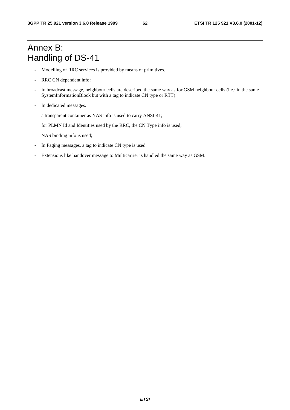# Annex B: Handling of DS-41

- Modelling of RRC services is provided by means of primitives.
- RRC CN dependent info:
- In broadcast message, neighbour cells are described the same way as for GSM neighbour cells (i.e.: in the same SystemInformationBlock but with a tag to indicate CN type or RTT).
- In dedicated messages.

a transparent container as NAS info is used to carry ANSI-41;

for PLMN Id and Identities used by the RRC, the CN Type info is used;

NAS binding info is used;

- In Paging messages, a tag to indicate CN type is used.
- Extensions like handover message to Multicarrier is handled the same way as GSM.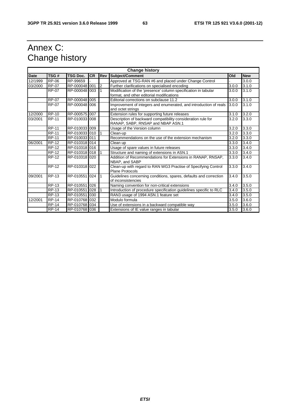# Annex C: Change history

| <b>Change history</b> |              |                 |           |                |                                                                                                   |       |            |
|-----------------------|--------------|-----------------|-----------|----------------|---------------------------------------------------------------------------------------------------|-------|------------|
| <b>Date</b>           | TSG#         | <b>TSG Doc.</b> | <b>CR</b> | Rev            | <b>Subject/Comment</b>                                                                            | Old   | <b>New</b> |
| 12/1999               | <b>RP-06</b> | RP-99659        |           |                | Approved at TSG-RAN #6 and placed under Change Control                                            |       | 3.0.0      |
| 03/2000               | <b>RP-07</b> | RP-000048 001   |           | $\overline{2}$ | Further clarifications on specialised encoding                                                    | 3.0.0 | 3.1.0      |
|                       | <b>RP-07</b> | RP-000048 003   |           |                | Modification of the 'presence' column specification in tabular                                    | 3.0.0 | 3.1.0      |
|                       |              |                 |           |                | format, and other editorial modifications                                                         |       |            |
|                       | <b>RP-07</b> | RP-000048 005   |           |                | Editorial corrections on subclause 11.2                                                           | 3.0.0 | 3.1.0      |
|                       | <b>RP-07</b> | RP-000048 006   |           |                | Improvement of integers and enumerated, and introduction of reals<br>and octet strings            | 3.0.0 | 3.1.0      |
| 12/2000               | <b>RP-10</b> | RP-000575 007   |           |                | Extension rules for supporting future releases                                                    | 3.1.0 | 3.2.0      |
| 03/2001               | <b>RP-11</b> | RP-010033 008   |           |                | Description of backward compatibility consideration rule for<br>RANAP, SABP, RNSAP and NBAP ASN.1 | 3.2.0 | 3.3.0      |
|                       | <b>RP-11</b> | RP-010033 009   |           |                | Usage of the Version column                                                                       | 3.2.0 | 3.3.0      |
|                       | <b>RP-11</b> | RP-010033 010   |           |                | Clean-up                                                                                          | 3.2.0 | 3.3.0      |
|                       | <b>RP-11</b> | RP-010033 011   |           |                | Recommendations on the use of the extension mechanism                                             | 3.2.0 | 3.3.0      |
| 06/2001               | <b>RP-12</b> | RP-010318 014   |           |                | Clean up                                                                                          | 3.3.0 | 3.4.0      |
|                       | <b>RP-12</b> | RP-010318 016   |           |                | Usage of spare values in future releases                                                          | 3.3.0 | 3.4.0      |
|                       | <b>RP-12</b> | RP-010318 018   |           |                | Structure and naming of extensions in ASN.1                                                       | 3.3.0 | 3.4.0      |
|                       | <b>RP-12</b> | RP-010318 020   |           |                | Addition of Recommendations for Extensions in RANAP, RNSAP,<br>NBAP, and SABP                     | 3.3.0 | 3.4.0      |
|                       | <b>RP-12</b> | RP-010318 022   |           |                | Clean-up with regard to RAN WG3 Practise of Specifying Control<br><b>Plane Protocols</b>          | 3.3.0 | 3.4.0      |
| 09/2001               | <b>RP-13</b> | RP-010551       | 024       |                | Guidelines concerning conditions, spares, defaults and correction<br>of inconsistencies           | 3.4.0 | 3.5.0      |
|                       | RP-13        | RP-010551       | 026       |                | Naming convention for non-critical extensions                                                     | 3.4.0 | 3.5.0      |
|                       | <b>RP-13</b> | RP-010551       | 028       |                | Introduction of procedure specification guidelines specific to RLC                                | 3.4.0 | 3.5.0      |
|                       | <b>RP-13</b> | RP-010551       | 030       |                | RAN3 usage of 1994 ASN.1 feature set                                                              | 3.4.0 | 3.5.0      |
| 12/2001               | <b>RP-14</b> | RP-010768 032   |           |                | Modulo formula                                                                                    | 3.5.0 | 3.6.0      |
|                       | <b>RP-14</b> | RP-010768 034   |           |                | Use of extensions in a backward compatible way                                                    | 3.5.0 | 3.6.0      |
|                       | <b>RP-14</b> | RP-010768 036   |           |                | Extensions of IE value ranges in tabular                                                          | 3.5.0 | 3.6.0      |